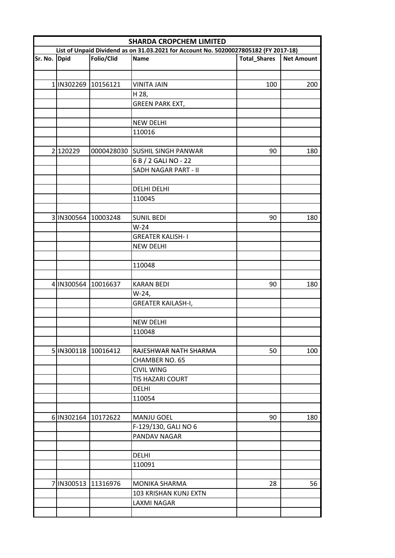|              | <b>SHARDA CROPCHEM LIMITED</b> |                     |                                                                                      |                     |                   |  |  |
|--------------|--------------------------------|---------------------|--------------------------------------------------------------------------------------|---------------------|-------------------|--|--|
|              |                                |                     | List of Unpaid Dividend as on 31.03.2021 for Account No. 50200027805182 (FY 2017-18) |                     |                   |  |  |
| Sr. No. Dpid |                                | Folio/Clid          | Name                                                                                 | <b>Total_Shares</b> | <b>Net Amount</b> |  |  |
|              |                                |                     |                                                                                      |                     |                   |  |  |
|              | 1 IN302269 10156121            |                     | <b>VINITA JAIN</b>                                                                   | 100                 | 200               |  |  |
|              |                                |                     | H 28,                                                                                |                     |                   |  |  |
|              |                                |                     | <b>GREEN PARK EXT,</b>                                                               |                     |                   |  |  |
|              |                                |                     |                                                                                      |                     |                   |  |  |
|              |                                |                     | <b>NEW DELHI</b>                                                                     |                     |                   |  |  |
|              |                                |                     | 110016                                                                               |                     |                   |  |  |
|              |                                |                     |                                                                                      |                     |                   |  |  |
|              | 2 120229                       |                     | 0000428030 SUSHIL SINGH PANWAR                                                       | 90                  | 180               |  |  |
|              |                                |                     | 6 B / 2 GALI NO - 22                                                                 |                     |                   |  |  |
|              |                                |                     | SADH NAGAR PART - II                                                                 |                     |                   |  |  |
|              |                                |                     |                                                                                      |                     |                   |  |  |
|              |                                |                     | <b>DELHI DELHI</b>                                                                   |                     |                   |  |  |
|              |                                |                     | 110045                                                                               |                     |                   |  |  |
|              |                                |                     |                                                                                      |                     |                   |  |  |
|              |                                | 3 IN300564 10003248 | <b>SUNIL BEDI</b>                                                                    | 90                  | 180               |  |  |
|              |                                |                     | $W-24$                                                                               |                     |                   |  |  |
|              |                                |                     | <b>GREATER KALISH-I</b>                                                              |                     |                   |  |  |
|              |                                |                     | <b>NEW DELHI</b>                                                                     |                     |                   |  |  |
|              |                                |                     |                                                                                      |                     |                   |  |  |
|              |                                |                     | 110048                                                                               |                     |                   |  |  |
|              |                                |                     |                                                                                      |                     |                   |  |  |
|              |                                | 4 IN300564 10016637 | <b>KARAN BEDI</b>                                                                    | 90                  | 180               |  |  |
|              |                                |                     | W-24,                                                                                |                     |                   |  |  |
|              |                                |                     | <b>GREATER KAILASH-I,</b>                                                            |                     |                   |  |  |
|              |                                |                     |                                                                                      |                     |                   |  |  |
|              |                                |                     | <b>NEW DELHI</b>                                                                     |                     |                   |  |  |
|              |                                |                     | 110048                                                                               |                     |                   |  |  |
|              |                                |                     |                                                                                      |                     |                   |  |  |
|              | 5 IN300118 10016412            |                     | RAJESHWAR NATH SHARMA                                                                | 50                  | 100               |  |  |
|              |                                |                     | <b>CHAMBER NO. 65</b>                                                                |                     |                   |  |  |
|              |                                |                     | <b>CIVIL WING</b>                                                                    |                     |                   |  |  |
|              |                                |                     | TIS HAZARI COURT                                                                     |                     |                   |  |  |
|              |                                |                     | <b>DELHI</b>                                                                         |                     |                   |  |  |
|              |                                |                     | 110054                                                                               |                     |                   |  |  |
|              |                                |                     |                                                                                      |                     |                   |  |  |
|              |                                | 6 IN302164 10172622 | <b>MANJU GOEL</b>                                                                    | 90                  | 180               |  |  |
|              |                                |                     | F-129/130, GALI NO 6                                                                 |                     |                   |  |  |
|              |                                |                     | PANDAV NAGAR                                                                         |                     |                   |  |  |
|              |                                |                     |                                                                                      |                     |                   |  |  |
|              |                                |                     | <b>DELHI</b>                                                                         |                     |                   |  |  |
|              |                                |                     | 110091                                                                               |                     |                   |  |  |
|              |                                |                     |                                                                                      |                     |                   |  |  |
|              |                                | 7 IN300513 11316976 | MONIKA SHARMA                                                                        | 28                  | 56                |  |  |
|              |                                |                     | 103 KRISHAN KUNJ EXTN                                                                |                     |                   |  |  |
|              |                                |                     | LAXMI NAGAR                                                                          |                     |                   |  |  |
|              |                                |                     |                                                                                      |                     |                   |  |  |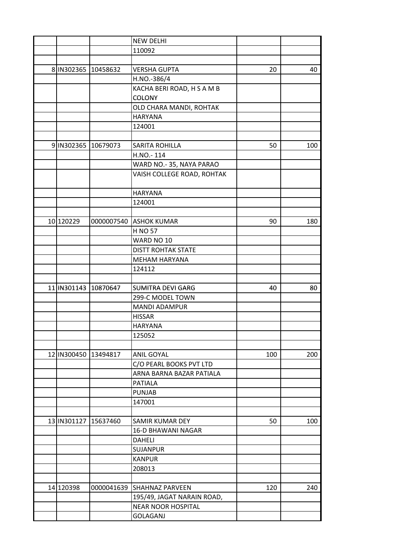|                     |                      | <b>NEW DELHI</b>           |     |     |
|---------------------|----------------------|----------------------------|-----|-----|
|                     |                      | 110092                     |     |     |
|                     |                      |                            |     |     |
|                     | 8 IN302365 10458632  | <b>VERSHA GUPTA</b>        | 20  | 40  |
|                     |                      | H.NO.-386/4                |     |     |
|                     |                      | KACHA BERI ROAD, H S A M B |     |     |
|                     |                      | <b>COLONY</b>              |     |     |
|                     |                      | OLD CHARA MANDI, ROHTAK    |     |     |
|                     |                      | <b>HARYANA</b>             |     |     |
|                     |                      | 124001                     |     |     |
|                     |                      |                            |     |     |
| 9 IN302365 10679073 |                      | <b>SARITA ROHILLA</b>      | 50  | 100 |
|                     |                      | H.NO.-114                  |     |     |
|                     |                      | WARD NO.-35, NAYA PARAO    |     |     |
|                     |                      | VAISH COLLEGE ROAD, ROHTAK |     |     |
|                     |                      |                            |     |     |
|                     |                      | <b>HARYANA</b>             |     |     |
|                     |                      | 124001                     |     |     |
|                     |                      |                            |     |     |
| 10 120229           | 0000007540           | <b>ASHOK KUMAR</b>         | 90  | 180 |
|                     |                      | <b>H NO 57</b>             |     |     |
|                     |                      | WARD NO 10                 |     |     |
|                     |                      | <b>DISTT ROHTAK STATE</b>  |     |     |
|                     |                      | <b>MEHAM HARYANA</b>       |     |     |
|                     |                      | 124112                     |     |     |
|                     |                      |                            |     |     |
|                     | 11 IN301143 10870647 | <b>SUMITRA DEVI GARG</b>   | 40  | 80  |
|                     |                      | 299-C MODEL TOWN           |     |     |
|                     |                      | <b>MANDI ADAMPUR</b>       |     |     |
|                     |                      |                            |     |     |
|                     |                      | <b>HISSAR</b>              |     |     |
|                     |                      | <b>HARYANA</b>             |     |     |
|                     |                      | 125052                     |     |     |
|                     |                      |                            |     |     |
|                     | 12 IN300450 13494817 | <b>ANIL GOYAL</b>          | 100 | 200 |
|                     |                      | C/O PEARL BOOKS PVT LTD    |     |     |
|                     |                      | ARNA BARNA BAZAR PATIALA   |     |     |
|                     |                      | <b>PATIALA</b>             |     |     |
|                     |                      | <b>PUNJAB</b>              |     |     |
|                     |                      | 147001                     |     |     |
|                     |                      |                            |     |     |
| 13 IN301127         | 15637460             | SAMIR KUMAR DEY            | 50  | 100 |
|                     |                      | <b>16-D BHAWANI NAGAR</b>  |     |     |
|                     |                      | <b>DAHELI</b>              |     |     |
|                     |                      | <b>SUJANPUR</b>            |     |     |
|                     |                      | <b>KANPUR</b>              |     |     |
|                     |                      | 208013                     |     |     |
|                     |                      |                            |     |     |
| 14 120398           | 0000041639           | <b>SHAHNAZ PARVEEN</b>     | 120 | 240 |
|                     |                      | 195/49, JAGAT NARAIN ROAD, |     |     |
|                     |                      | <b>NEAR NOOR HOSPITAL</b>  |     |     |
|                     |                      | <b>GOLAGANJ</b>            |     |     |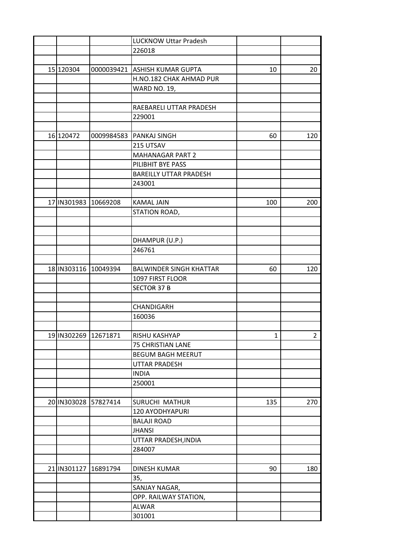|             |                       | <b>LUCKNOW Uttar Pradesh</b>   |     |     |
|-------------|-----------------------|--------------------------------|-----|-----|
|             |                       | 226018                         |     |     |
|             |                       |                                |     |     |
| 15 120304   | 0000039421            | <b>ASHISH KUMAR GUPTA</b>      | 10  | 20  |
|             |                       | H.NO.182 CHAK AHMAD PUR        |     |     |
|             |                       | <b>WARD NO. 19,</b>            |     |     |
|             |                       |                                |     |     |
|             |                       | RAEBARELI UTTAR PRADESH        |     |     |
|             |                       | 229001                         |     |     |
|             |                       |                                |     |     |
| 16 120472   |                       | 0009984583 PANKAJ SINGH        | 60  | 120 |
|             |                       | 215 UTSAV                      |     |     |
|             |                       | <b>MAHANAGAR PART 2</b>        |     |     |
|             |                       | PILIBHIT BYE PASS              |     |     |
|             |                       | <b>BAREILLY UTTAR PRADESH</b>  |     |     |
|             |                       | 243001                         |     |     |
|             |                       |                                |     |     |
|             | 17 IN301983 10669208  | <b>KAMAL JAIN</b>              | 100 | 200 |
|             |                       | STATION ROAD,                  |     |     |
|             |                       |                                |     |     |
|             |                       |                                |     |     |
|             |                       | DHAMPUR (U.P.)                 |     |     |
|             |                       | 246761                         |     |     |
|             |                       |                                |     |     |
|             | 18 IN303116 10049394  | <b>BALWINDER SINGH KHATTAR</b> | 60  | 120 |
|             |                       | 1097 FIRST FLOOR               |     |     |
|             |                       | <b>SECTOR 37 B</b>             |     |     |
|             |                       |                                |     |     |
|             |                       | CHANDIGARH                     |     |     |
|             |                       | 160036                         |     |     |
|             |                       |                                |     |     |
|             | 19 IN302269  12671871 | RISHU KASHYAP                  | 1   | 2   |
|             |                       | <b>75 CHRISTIAN LANE</b>       |     |     |
|             |                       | <b>BEGUM BAGH MEERUT</b>       |     |     |
|             |                       | UTTAR PRADESH                  |     |     |
|             |                       | <b>INDIA</b>                   |     |     |
|             |                       | 250001                         |     |     |
|             |                       |                                |     |     |
|             | 20 IN303028 57827414  | SURUCHI MATHUR                 | 135 | 270 |
|             |                       | 120 AYODHYAPURI                |     |     |
|             |                       | <b>BALAJI ROAD</b>             |     |     |
|             |                       | <b>JHANSI</b>                  |     |     |
|             |                       | UTTAR PRADESH, INDIA           |     |     |
|             |                       | 284007                         |     |     |
|             |                       |                                |     |     |
| 21 IN301127 | 16891794              | <b>DINESH KUMAR</b>            | 90  | 180 |
|             |                       | 35,                            |     |     |
|             |                       | SANJAY NAGAR,                  |     |     |
|             |                       | OPP. RAILWAY STATION,          |     |     |
|             |                       | ALWAR                          |     |     |
|             |                       | 301001                         |     |     |
|             |                       |                                |     |     |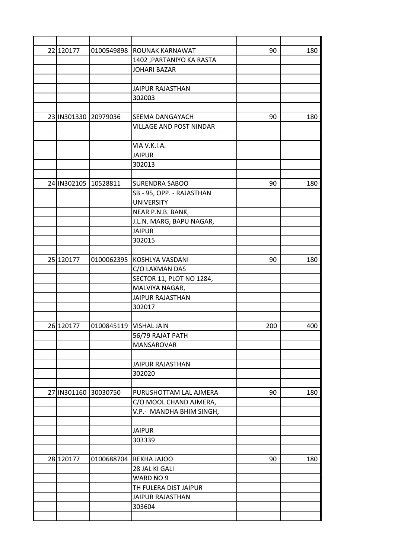| 22 120177<br>0100549898 ROUNAK KARNAWAT<br>90<br>180<br>1402, PARTANIYO KA RASTA<br><b>JOHARI BAZAR</b><br><b>JAIPUR RAJASTHAN</b><br>302003<br>23 IN301330<br>20979036<br><b>SEEMA DANGAYACH</b><br>90<br>180<br>VILLAGE AND POST NINDAR<br>VIA V.K.I.A.<br><b>JAIPUR</b><br>302013<br>24 IN302105 10528811<br>180<br><b>SURENDRA SABOO</b><br>90<br>SB - 95, OPP. - RAJASTHAN<br><b>UNIVERSITY</b><br>NEAR P.N.B. BANK,<br>J.L.N. MARG, BAPU NAGAR,<br><b>JAIPUR</b><br>302015<br>25 120177<br>0100062395 KOSHLYA VASDANI<br>90<br>180<br>C/O LAXMAN DAS<br>SECTOR 11, PLOT NO 1284,<br>MALVIYA NAGAR,<br><b>JAIPUR RAJASTHAN</b><br>302017<br>26 120177<br>0100845119<br><b>VISHAL JAIN</b><br>200<br>400<br>56/79 RAJAT PATH<br>MANSAROVAR<br><b>JAIPUR RAJASTHAN</b><br>302020<br>27 IN301160<br>30030750<br>90<br>PURUSHOTTAM LAL AJMERA<br>180<br>C/O MOOL CHAND AJMERA,<br>V.P.- MANDHA BHIM SINGH,<br><b>JAIPUR</b><br>303339<br>28 120177<br>0100688704<br><b>REKHA JAJOO</b><br>90<br>180<br>28 JAL KI GALI<br>WARD NO 9<br>TH FULERA DIST JAIPUR<br><b>JAIPUR RAJASTHAN</b><br>303604 |  |  |  |
|---------------------------------------------------------------------------------------------------------------------------------------------------------------------------------------------------------------------------------------------------------------------------------------------------------------------------------------------------------------------------------------------------------------------------------------------------------------------------------------------------------------------------------------------------------------------------------------------------------------------------------------------------------------------------------------------------------------------------------------------------------------------------------------------------------------------------------------------------------------------------------------------------------------------------------------------------------------------------------------------------------------------------------------------------------------------------------------------------|--|--|--|
|                                                                                                                                                                                                                                                                                                                                                                                                                                                                                                                                                                                                                                                                                                                                                                                                                                                                                                                                                                                                                                                                                                   |  |  |  |
|                                                                                                                                                                                                                                                                                                                                                                                                                                                                                                                                                                                                                                                                                                                                                                                                                                                                                                                                                                                                                                                                                                   |  |  |  |
|                                                                                                                                                                                                                                                                                                                                                                                                                                                                                                                                                                                                                                                                                                                                                                                                                                                                                                                                                                                                                                                                                                   |  |  |  |
|                                                                                                                                                                                                                                                                                                                                                                                                                                                                                                                                                                                                                                                                                                                                                                                                                                                                                                                                                                                                                                                                                                   |  |  |  |
|                                                                                                                                                                                                                                                                                                                                                                                                                                                                                                                                                                                                                                                                                                                                                                                                                                                                                                                                                                                                                                                                                                   |  |  |  |
|                                                                                                                                                                                                                                                                                                                                                                                                                                                                                                                                                                                                                                                                                                                                                                                                                                                                                                                                                                                                                                                                                                   |  |  |  |
|                                                                                                                                                                                                                                                                                                                                                                                                                                                                                                                                                                                                                                                                                                                                                                                                                                                                                                                                                                                                                                                                                                   |  |  |  |
|                                                                                                                                                                                                                                                                                                                                                                                                                                                                                                                                                                                                                                                                                                                                                                                                                                                                                                                                                                                                                                                                                                   |  |  |  |
|                                                                                                                                                                                                                                                                                                                                                                                                                                                                                                                                                                                                                                                                                                                                                                                                                                                                                                                                                                                                                                                                                                   |  |  |  |
|                                                                                                                                                                                                                                                                                                                                                                                                                                                                                                                                                                                                                                                                                                                                                                                                                                                                                                                                                                                                                                                                                                   |  |  |  |
|                                                                                                                                                                                                                                                                                                                                                                                                                                                                                                                                                                                                                                                                                                                                                                                                                                                                                                                                                                                                                                                                                                   |  |  |  |
|                                                                                                                                                                                                                                                                                                                                                                                                                                                                                                                                                                                                                                                                                                                                                                                                                                                                                                                                                                                                                                                                                                   |  |  |  |
|                                                                                                                                                                                                                                                                                                                                                                                                                                                                                                                                                                                                                                                                                                                                                                                                                                                                                                                                                                                                                                                                                                   |  |  |  |
|                                                                                                                                                                                                                                                                                                                                                                                                                                                                                                                                                                                                                                                                                                                                                                                                                                                                                                                                                                                                                                                                                                   |  |  |  |
|                                                                                                                                                                                                                                                                                                                                                                                                                                                                                                                                                                                                                                                                                                                                                                                                                                                                                                                                                                                                                                                                                                   |  |  |  |
|                                                                                                                                                                                                                                                                                                                                                                                                                                                                                                                                                                                                                                                                                                                                                                                                                                                                                                                                                                                                                                                                                                   |  |  |  |
|                                                                                                                                                                                                                                                                                                                                                                                                                                                                                                                                                                                                                                                                                                                                                                                                                                                                                                                                                                                                                                                                                                   |  |  |  |
|                                                                                                                                                                                                                                                                                                                                                                                                                                                                                                                                                                                                                                                                                                                                                                                                                                                                                                                                                                                                                                                                                                   |  |  |  |
|                                                                                                                                                                                                                                                                                                                                                                                                                                                                                                                                                                                                                                                                                                                                                                                                                                                                                                                                                                                                                                                                                                   |  |  |  |
|                                                                                                                                                                                                                                                                                                                                                                                                                                                                                                                                                                                                                                                                                                                                                                                                                                                                                                                                                                                                                                                                                                   |  |  |  |
|                                                                                                                                                                                                                                                                                                                                                                                                                                                                                                                                                                                                                                                                                                                                                                                                                                                                                                                                                                                                                                                                                                   |  |  |  |
|                                                                                                                                                                                                                                                                                                                                                                                                                                                                                                                                                                                                                                                                                                                                                                                                                                                                                                                                                                                                                                                                                                   |  |  |  |
|                                                                                                                                                                                                                                                                                                                                                                                                                                                                                                                                                                                                                                                                                                                                                                                                                                                                                                                                                                                                                                                                                                   |  |  |  |
|                                                                                                                                                                                                                                                                                                                                                                                                                                                                                                                                                                                                                                                                                                                                                                                                                                                                                                                                                                                                                                                                                                   |  |  |  |
|                                                                                                                                                                                                                                                                                                                                                                                                                                                                                                                                                                                                                                                                                                                                                                                                                                                                                                                                                                                                                                                                                                   |  |  |  |
|                                                                                                                                                                                                                                                                                                                                                                                                                                                                                                                                                                                                                                                                                                                                                                                                                                                                                                                                                                                                                                                                                                   |  |  |  |
|                                                                                                                                                                                                                                                                                                                                                                                                                                                                                                                                                                                                                                                                                                                                                                                                                                                                                                                                                                                                                                                                                                   |  |  |  |
|                                                                                                                                                                                                                                                                                                                                                                                                                                                                                                                                                                                                                                                                                                                                                                                                                                                                                                                                                                                                                                                                                                   |  |  |  |
|                                                                                                                                                                                                                                                                                                                                                                                                                                                                                                                                                                                                                                                                                                                                                                                                                                                                                                                                                                                                                                                                                                   |  |  |  |
|                                                                                                                                                                                                                                                                                                                                                                                                                                                                                                                                                                                                                                                                                                                                                                                                                                                                                                                                                                                                                                                                                                   |  |  |  |
|                                                                                                                                                                                                                                                                                                                                                                                                                                                                                                                                                                                                                                                                                                                                                                                                                                                                                                                                                                                                                                                                                                   |  |  |  |
|                                                                                                                                                                                                                                                                                                                                                                                                                                                                                                                                                                                                                                                                                                                                                                                                                                                                                                                                                                                                                                                                                                   |  |  |  |
|                                                                                                                                                                                                                                                                                                                                                                                                                                                                                                                                                                                                                                                                                                                                                                                                                                                                                                                                                                                                                                                                                                   |  |  |  |
|                                                                                                                                                                                                                                                                                                                                                                                                                                                                                                                                                                                                                                                                                                                                                                                                                                                                                                                                                                                                                                                                                                   |  |  |  |
|                                                                                                                                                                                                                                                                                                                                                                                                                                                                                                                                                                                                                                                                                                                                                                                                                                                                                                                                                                                                                                                                                                   |  |  |  |
|                                                                                                                                                                                                                                                                                                                                                                                                                                                                                                                                                                                                                                                                                                                                                                                                                                                                                                                                                                                                                                                                                                   |  |  |  |
|                                                                                                                                                                                                                                                                                                                                                                                                                                                                                                                                                                                                                                                                                                                                                                                                                                                                                                                                                                                                                                                                                                   |  |  |  |
|                                                                                                                                                                                                                                                                                                                                                                                                                                                                                                                                                                                                                                                                                                                                                                                                                                                                                                                                                                                                                                                                                                   |  |  |  |
|                                                                                                                                                                                                                                                                                                                                                                                                                                                                                                                                                                                                                                                                                                                                                                                                                                                                                                                                                                                                                                                                                                   |  |  |  |
|                                                                                                                                                                                                                                                                                                                                                                                                                                                                                                                                                                                                                                                                                                                                                                                                                                                                                                                                                                                                                                                                                                   |  |  |  |
|                                                                                                                                                                                                                                                                                                                                                                                                                                                                                                                                                                                                                                                                                                                                                                                                                                                                                                                                                                                                                                                                                                   |  |  |  |
|                                                                                                                                                                                                                                                                                                                                                                                                                                                                                                                                                                                                                                                                                                                                                                                                                                                                                                                                                                                                                                                                                                   |  |  |  |
|                                                                                                                                                                                                                                                                                                                                                                                                                                                                                                                                                                                                                                                                                                                                                                                                                                                                                                                                                                                                                                                                                                   |  |  |  |
|                                                                                                                                                                                                                                                                                                                                                                                                                                                                                                                                                                                                                                                                                                                                                                                                                                                                                                                                                                                                                                                                                                   |  |  |  |
|                                                                                                                                                                                                                                                                                                                                                                                                                                                                                                                                                                                                                                                                                                                                                                                                                                                                                                                                                                                                                                                                                                   |  |  |  |
|                                                                                                                                                                                                                                                                                                                                                                                                                                                                                                                                                                                                                                                                                                                                                                                                                                                                                                                                                                                                                                                                                                   |  |  |  |
|                                                                                                                                                                                                                                                                                                                                                                                                                                                                                                                                                                                                                                                                                                                                                                                                                                                                                                                                                                                                                                                                                                   |  |  |  |
|                                                                                                                                                                                                                                                                                                                                                                                                                                                                                                                                                                                                                                                                                                                                                                                                                                                                                                                                                                                                                                                                                                   |  |  |  |
|                                                                                                                                                                                                                                                                                                                                                                                                                                                                                                                                                                                                                                                                                                                                                                                                                                                                                                                                                                                                                                                                                                   |  |  |  |
|                                                                                                                                                                                                                                                                                                                                                                                                                                                                                                                                                                                                                                                                                                                                                                                                                                                                                                                                                                                                                                                                                                   |  |  |  |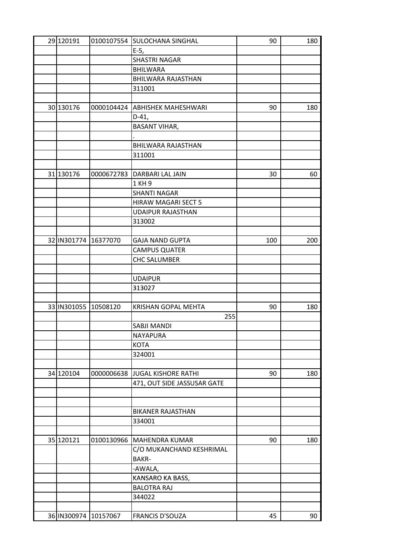| 29 120191            |                      | 0100107554 SULOCHANA SINGHAL | 90  | 180 |
|----------------------|----------------------|------------------------------|-----|-----|
|                      |                      | $E-5,$                       |     |     |
|                      |                      | <b>SHASTRI NAGAR</b>         |     |     |
|                      |                      | <b>BHILWARA</b>              |     |     |
|                      |                      | BHILWARA RAJASTHAN           |     |     |
|                      |                      | 311001                       |     |     |
|                      |                      |                              |     |     |
| 30 130176            | 0000104424           | <b>ABHISHEK MAHESHWARI</b>   | 90  | 180 |
|                      |                      | $D-41,$                      |     |     |
|                      |                      | <b>BASANT VIHAR,</b>         |     |     |
|                      |                      |                              |     |     |
|                      |                      | BHILWARA RAJASTHAN           |     |     |
|                      |                      | 311001                       |     |     |
|                      |                      |                              |     |     |
|                      |                      |                              |     |     |
| 31 130176            | 0000672783           | DARBARI LAL JAIN             | 30  | 60  |
|                      |                      | 1 KH 9                       |     |     |
|                      |                      | <b>SHANTI NAGAR</b>          |     |     |
|                      |                      | HIRAW MAGARI SECT 5          |     |     |
|                      |                      | <b>UDAIPUR RAJASTHAN</b>     |     |     |
|                      |                      | 313002                       |     |     |
|                      |                      |                              |     |     |
| 32 IN301774 16377070 |                      | <b>GAJA NAND GUPTA</b>       | 100 | 200 |
|                      |                      | <b>CAMPUS QUATER</b>         |     |     |
|                      |                      | <b>CHC SALUMBER</b>          |     |     |
|                      |                      |                              |     |     |
|                      |                      | <b>UDAIPUR</b>               |     |     |
|                      |                      | 313027                       |     |     |
|                      |                      |                              |     |     |
| 33 IN301055 10508120 |                      | <b>KRISHAN GOPAL MEHTA</b>   | 90  | 180 |
|                      |                      | 255                          |     |     |
|                      |                      | SABJI MANDI                  |     |     |
|                      |                      | NAYAPURA                     |     |     |
|                      |                      | <b>KOTA</b>                  |     |     |
|                      |                      | 324001                       |     |     |
|                      |                      |                              |     |     |
| 34 120104            | 0000006638           | <b>JUGAL KISHORE RATHI</b>   | 90  | 180 |
|                      |                      | 471, OUT SIDE JASSUSAR GATE  |     |     |
|                      |                      |                              |     |     |
|                      |                      |                              |     |     |
|                      |                      |                              |     |     |
|                      |                      | <b>BIKANER RAJASTHAN</b>     |     |     |
|                      |                      | 334001                       |     |     |
|                      |                      |                              |     |     |
| 35 120121            | 0100130966           | MAHENDRA KUMAR               | 90  | 180 |
|                      |                      | C/O MUKANCHAND KESHRIMAL     |     |     |
|                      |                      | BAKR-                        |     |     |
|                      |                      | -AWALA,                      |     |     |
|                      |                      | KANSARO KA BASS,             |     |     |
|                      |                      | <b>BALOTRA RAJ</b>           |     |     |
|                      |                      | 344022                       |     |     |
|                      |                      |                              |     |     |
|                      | 36 IN300974 10157067 | <b>FRANCIS D'SOUZA</b>       | 45  | 90  |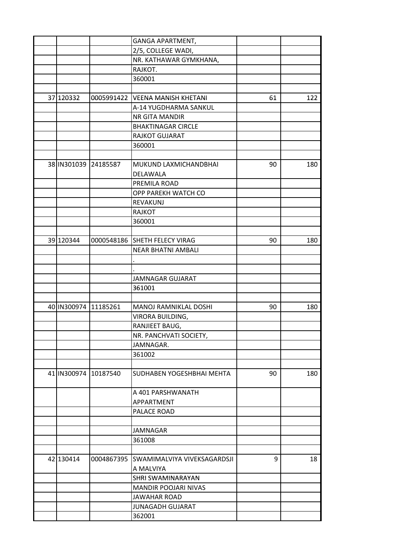|           |                       | GANGA APARTMENT,              |    |     |
|-----------|-----------------------|-------------------------------|----|-----|
|           |                       | 2/5, COLLEGE WADI,            |    |     |
|           |                       | NR. KATHAWAR GYMKHANA,        |    |     |
|           |                       | RAJKOT.                       |    |     |
|           |                       | 360001                        |    |     |
|           |                       |                               |    |     |
| 37 120332 | 0005991422            | <b>VEENA MANISH KHETANI</b>   | 61 | 122 |
|           |                       | A-14 YUGDHARMA SANKUL         |    |     |
|           |                       | NR GITA MANDIR                |    |     |
|           |                       | <b>BHAKTINAGAR CIRCLE</b>     |    |     |
|           |                       | RAJKOT GUJARAT                |    |     |
|           |                       | 360001                        |    |     |
|           |                       |                               |    |     |
|           | 38 IN 301039 24185587 | MUKUND LAXMICHANDBHAI         | 90 | 180 |
|           |                       | DELAWALA                      |    |     |
|           |                       | PREMILA ROAD                  |    |     |
|           |                       | OPP PAREKH WATCH CO           |    |     |
|           |                       | <b>REVAKUNJ</b>               |    |     |
|           |                       | <b>RAJKOT</b>                 |    |     |
|           |                       | 360001                        |    |     |
|           |                       |                               |    |     |
| 39 120344 |                       | 0000548186 SHETH FELECY VIRAG | 90 | 180 |
|           |                       | <b>NEAR BHATNI AMBALI</b>     |    |     |
|           |                       |                               |    |     |
|           |                       |                               |    |     |
|           |                       | JAMNAGAR GUJARAT              |    |     |
|           |                       | 361001                        |    |     |
|           |                       |                               |    |     |
|           | 40 IN300974 11185261  | MANOJ RAMNIKLAL DOSHI         | 90 | 180 |
|           |                       | VIRORA BUILDING,              |    |     |
|           |                       | RANJIEET BAUG,                |    |     |
|           |                       | NR. PANCHVATI SOCIETY,        |    |     |
|           |                       | JAMNAGAR.                     |    |     |
|           |                       | 361002                        |    |     |
|           |                       |                               |    |     |
|           | 41 IN300974 10187540  | SUDHABEN YOGESHBHAI MEHTA     | 90 | 180 |
|           |                       | A 401 PARSHWANATH             |    |     |
|           |                       | APPARTMENT                    |    |     |
|           |                       | PALACE ROAD                   |    |     |
|           |                       |                               |    |     |
|           |                       | <b>JAMNAGAR</b>               |    |     |
|           |                       | 361008                        |    |     |
|           |                       |                               |    |     |
| 42 130414 | 0004867395            | SWAMIMALVIYA VIVEKSAGARDSJI   | 9  | 18  |
|           |                       | A MALVIYA                     |    |     |
|           |                       | SHRI SWAMINARAYAN             |    |     |
|           |                       | MANDIR POOJARI NIVAS          |    |     |
|           |                       | <b>JAWAHAR ROAD</b>           |    |     |
|           |                       | <b>JUNAGADH GUJARAT</b>       |    |     |
|           |                       | 362001                        |    |     |
|           |                       |                               |    |     |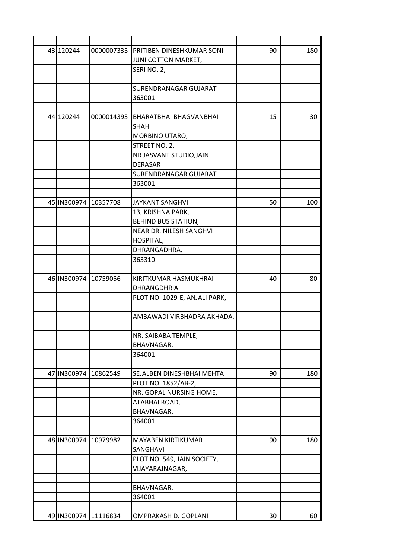| 43 120244            |            | 0000007335 PRITIBEN DINESHKUMAR SONI | 90 | 180 |
|----------------------|------------|--------------------------------------|----|-----|
|                      |            | JUNI COTTON MARKET,                  |    |     |
|                      |            | SERI NO. 2,                          |    |     |
|                      |            |                                      |    |     |
|                      |            | <b>SURENDRANAGAR GUJARAT</b>         |    |     |
|                      |            | 363001                               |    |     |
|                      |            |                                      |    |     |
| 44 120244            | 0000014393 | <b>BHARATBHAI BHAGVANBHAI</b>        | 15 | 30  |
|                      |            | <b>SHAH</b>                          |    |     |
|                      |            | MORBINO UTARO,                       |    |     |
|                      |            | STREET NO. 2,                        |    |     |
|                      |            | NR JASVANT STUDIO, JAIN              |    |     |
|                      |            | <b>DERASAR</b>                       |    |     |
|                      |            | <b>SURENDRANAGAR GUJARAT</b>         |    |     |
|                      |            | 363001                               |    |     |
|                      |            |                                      |    |     |
| 45 IN300974 10357708 |            | <b>JAYKANT SANGHVI</b>               | 50 | 100 |
|                      |            | 13, KRISHNA PARK,                    |    |     |
|                      |            | <b>BEHIND BUS STATION,</b>           |    |     |
|                      |            | NEAR DR. NILESH SANGHVI              |    |     |
|                      |            | HOSPITAL,                            |    |     |
|                      |            | DHRANGADHRA.                         |    |     |
|                      |            | 363310                               |    |     |
|                      |            |                                      |    |     |
| 46 IN300974 10759056 |            | KIRITKUMAR HASMUKHRAI                | 40 | 80  |
|                      |            | DHRANGDHRIA                          |    |     |
|                      |            | PLOT NO. 1029-E, ANJALI PARK,        |    |     |
|                      |            |                                      |    |     |
|                      |            | AMBAWADI VIRBHADRA AKHADA,           |    |     |
|                      |            |                                      |    |     |
|                      |            | NR. SAIBABA TEMPLE,                  |    |     |
|                      |            | BHAVNAGAR.                           |    |     |
|                      |            | 364001                               |    |     |
|                      |            |                                      |    |     |
| 47 IN300974          | 10862549   | SEJALBEN DINESHBHAI MEHTA            | 90 | 180 |
|                      |            | PLOT NO. 1852/AB-2,                  |    |     |
|                      |            | NR. GOPAL NURSING HOME,              |    |     |
|                      |            | ATABHAI ROAD,                        |    |     |
|                      |            | BHAVNAGAR.                           |    |     |
|                      |            | 364001                               |    |     |
|                      |            |                                      |    |     |
| 48 IN300974          | 10979982   | <b>MAYABEN KIRTIKUMAR</b>            | 90 | 180 |
|                      |            | SANGHAVI                             |    |     |
|                      |            | PLOT NO. 549, JAIN SOCIETY,          |    |     |
|                      |            | VIJAYARAJNAGAR,                      |    |     |
|                      |            |                                      |    |     |
|                      |            | <b>BHAVNAGAR.</b>                    |    |     |
|                      |            | 364001                               |    |     |
|                      |            |                                      |    |     |
| 49 IN300974 11116834 |            | OMPRAKASH D. GOPLANI                 | 30 | 60  |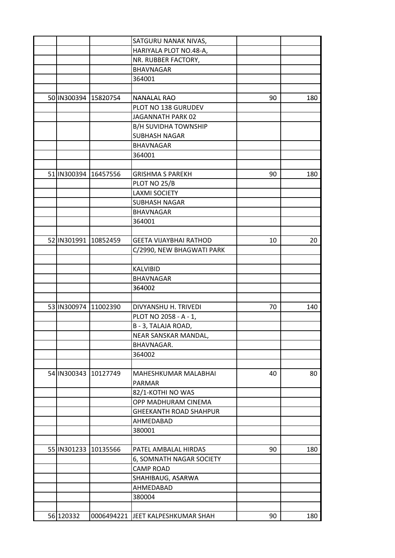|             |                      | SATGURU NANAK NIVAS,               |    |     |
|-------------|----------------------|------------------------------------|----|-----|
|             |                      | HARIYALA PLOT NO.48-A,             |    |     |
|             |                      | NR. RUBBER FACTORY,                |    |     |
|             |                      | <b>BHAVNAGAR</b>                   |    |     |
|             |                      | 364001                             |    |     |
|             |                      |                                    |    |     |
|             | 50 IN300394 15820754 | <b>NANALAL RAO</b>                 | 90 | 180 |
|             |                      | PLOT NO 138 GURUDEV                |    |     |
|             |                      | JAGANNATH PARK 02                  |    |     |
|             |                      | <b>B/H SUVIDHA TOWNSHIP</b>        |    |     |
|             |                      | <b>SUBHASH NAGAR</b>               |    |     |
|             |                      | <b>BHAVNAGAR</b>                   |    |     |
|             |                      | 364001                             |    |     |
|             |                      |                                    |    |     |
| 51 IN300394 | 16457556             | <b>GRISHMA S PAREKH</b>            | 90 | 180 |
|             |                      | PLOT NO 25/B                       |    |     |
|             |                      | <b>LAXMI SOCIETY</b>               |    |     |
|             |                      | <b>SUBHASH NAGAR</b>               |    |     |
|             |                      | <b>BHAVNAGAR</b>                   |    |     |
|             |                      | 364001                             |    |     |
|             |                      |                                    |    |     |
|             | 52 IN301991 10852459 | <b>GEETA VIJAYBHAI RATHOD</b>      | 10 | 20  |
|             |                      | C/2990, NEW BHAGWATI PARK          |    |     |
|             |                      |                                    |    |     |
|             |                      | <b>KALVIBID</b>                    |    |     |
|             |                      | <b>BHAVNAGAR</b>                   |    |     |
|             |                      | 364002                             |    |     |
|             |                      |                                    |    |     |
|             | 53 IN300974 11002390 | DIVYANSHU H. TRIVEDI               | 70 | 140 |
|             |                      | PLOT NO 2058 - A - 1,              |    |     |
|             |                      |                                    |    |     |
|             |                      | B - 3, TALAJA ROAD,                |    |     |
|             |                      | NEAR SANSKAR MANDAL,               |    |     |
|             |                      | BHAVNAGAR.                         |    |     |
|             |                      | 364002                             |    |     |
|             |                      |                                    |    |     |
|             | 54 IN300343 10127749 | MAHESHKUMAR MALABHAI               | 40 | 80  |
|             |                      | PARMAR                             |    |     |
|             |                      | 82/1-KOTHI NO WAS                  |    |     |
|             |                      | OPP MADHURAM CINEMA                |    |     |
|             |                      | <b>GHEEKANTH ROAD SHAHPUR</b>      |    |     |
|             |                      | AHMEDABAD                          |    |     |
|             |                      | 380001                             |    |     |
|             |                      |                                    |    |     |
|             | 55 IN301233 10135566 | PATEL AMBALAL HIRDAS               | 90 | 180 |
|             |                      | 6, SOMNATH NAGAR SOCIETY           |    |     |
|             |                      | <b>CAMP ROAD</b>                   |    |     |
|             |                      | SHAHIBAUG, ASARWA                  |    |     |
|             |                      | AHMEDABAD                          |    |     |
|             |                      | 380004                             |    |     |
|             |                      |                                    |    |     |
| 56 120332   |                      | 0006494221 JJEET KALPESHKUMAR SHAH | 90 | 180 |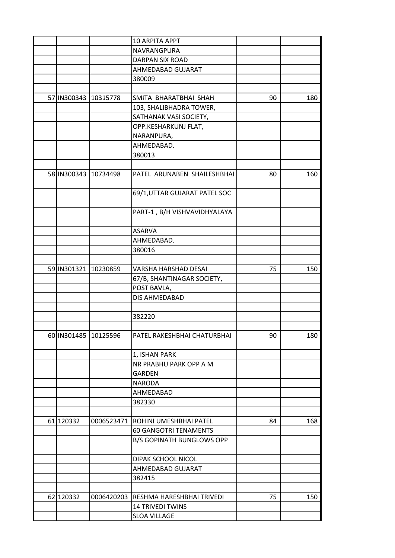|           |                      | 10 ARPITA APPT                            |    |     |
|-----------|----------------------|-------------------------------------------|----|-----|
|           |                      | NAVRANGPURA                               |    |     |
|           |                      | DARPAN SIX ROAD                           |    |     |
|           |                      | AHMEDABAD GUJARAT                         |    |     |
|           |                      | 380009                                    |    |     |
|           |                      |                                           |    |     |
|           | 57 IN300343 10315778 | SMITA BHARATBHAI SHAH                     | 90 | 180 |
|           |                      | 103, SHALIBHADRA TOWER,                   |    |     |
|           |                      | SATHANAK VASI SOCIETY,                    |    |     |
|           |                      | OPP.KESHARKUNJ FLAT,                      |    |     |
|           |                      | NARANPURA,                                |    |     |
|           |                      | AHMEDABAD.                                |    |     |
|           |                      | 380013                                    |    |     |
|           |                      |                                           |    |     |
|           | 58 IN300343 10734498 | PATEL ARUNABEN SHAILESHBHAI               | 80 | 160 |
|           |                      | 69/1, UTTAR GUJARAT PATEL SOC             |    |     |
|           |                      | PART-1, B/H VISHVAVIDHYALAYA              |    |     |
|           |                      |                                           |    |     |
|           |                      | <b>ASARVA</b>                             |    |     |
|           |                      | AHMEDABAD.                                |    |     |
|           |                      | 380016                                    |    |     |
|           | 59 IN301321 10230859 | VARSHA HARSHAD DESAI                      | 75 | 150 |
|           |                      |                                           |    |     |
|           |                      | 67/B, SHANTINAGAR SOCIETY,<br>POST BAVLA, |    |     |
|           |                      | DIS AHMEDABAD                             |    |     |
|           |                      |                                           |    |     |
|           |                      | 382220                                    |    |     |
|           |                      |                                           |    |     |
|           | 60 IN301485 10125596 | PATEL RAKESHBHAI CHATURBHAI               | 90 | 180 |
|           |                      | 1, ISHAN PARK                             |    |     |
|           |                      | NR PRABHU PARK OPP A M                    |    |     |
|           |                      | GARDEN                                    |    |     |
|           |                      | <b>NARODA</b>                             |    |     |
|           |                      | AHMEDABAD                                 |    |     |
|           |                      | 382330                                    |    |     |
|           |                      |                                           |    |     |
| 61 120332 | 0006523471           | ROHINI UMESHBHAI PATEL                    | 84 | 168 |
|           |                      | <b>60 GANGOTRI TENAMENTS</b>              |    |     |
|           |                      | <b>B/S GOPINATH BUNGLOWS OPP</b>          |    |     |
|           |                      | DIPAK SCHOOL NICOL                        |    |     |
|           |                      | AHMEDABAD GUJARAT                         |    |     |
|           |                      | 382415                                    |    |     |
|           |                      |                                           |    |     |
| 62 120332 | 0006420203           | RESHMA HARESHBHAI TRIVEDI                 | 75 | 150 |
|           |                      | <b>14 TRIVEDI TWINS</b>                   |    |     |
|           |                      | <b>SLOA VILLAGE</b>                       |    |     |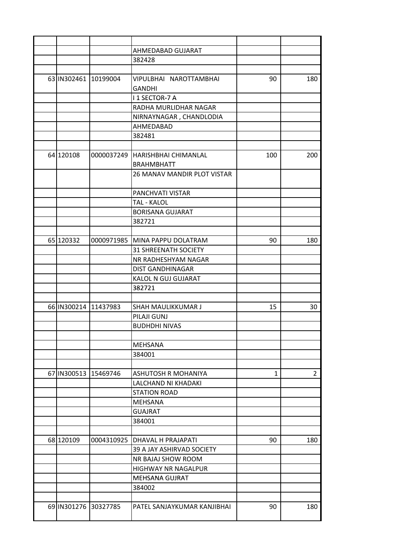|                      | AHMEDABAD GUJARAT                  |     |                |
|----------------------|------------------------------------|-----|----------------|
|                      | 382428                             |     |                |
|                      |                                    |     |                |
| 63 IN302461 10199004 | VIPULBHAI NAROTTAMBHAI             | 90  | 180            |
|                      | <b>GANDHI</b>                      |     |                |
|                      | I 1 SECTOR-7 A                     |     |                |
|                      | RADHA MURLIDHAR NAGAR              |     |                |
|                      | NIRNAYNAGAR, CHANDLODIA            |     |                |
|                      | AHMEDABAD                          |     |                |
|                      | 382481                             |     |                |
|                      |                                    |     |                |
| 64 120108            | 0000037249 HARISHBHAI CHIMANLAL    | 100 | 200            |
|                      | <b>BRAHMBHATT</b>                  |     |                |
|                      | <b>26 MANAV MANDIR PLOT VISTAR</b> |     |                |
|                      |                                    |     |                |
|                      | PANCHVATI VISTAR                   |     |                |
|                      | TAL - KALOL                        |     |                |
|                      | <b>BORISANA GUJARAT</b>            |     |                |
|                      | 382721                             |     |                |
|                      |                                    |     |                |
| 65 120332            | 0000971985 MINA PAPPU DOLATRAM     | 90  | 180            |
|                      | <b>31 SHREENATH SOCIETY</b>        |     |                |
|                      | NR RADHESHYAM NAGAR                |     |                |
|                      | <b>DIST GANDHINAGAR</b>            |     |                |
|                      |                                    |     |                |
|                      | KALOL N GUJ GUJARAT                |     |                |
|                      | 382721                             |     |                |
|                      |                                    |     |                |
| 66 IN300214 11437983 | SHAH MAULIKKUMAR J                 | 15  | 30             |
|                      | PILAJI GUNJ                        |     |                |
|                      | <b>BUDHDHI NIVAS</b>               |     |                |
|                      |                                    |     |                |
|                      | MEHSANA                            |     |                |
|                      | 384001                             |     |                |
|                      |                                    |     |                |
| 67 IN300513 15469746 | ASHUTOSH R MOHANIYA                | 1   | $\overline{2}$ |
|                      | LALCHAND NI KHADAKI                |     |                |
|                      | <b>STATION ROAD</b>                |     |                |
|                      | MEHSANA                            |     |                |
|                      | <b>GUAJRAT</b>                     |     |                |
|                      | 384001                             |     |                |
|                      |                                    |     |                |
| 68 120109            | 0004310925   DHAVAL H PRAJAPATI    | 90  | 180            |
|                      | 39 A JAY ASHIRVAD SOCIETY          |     |                |
|                      | NR BAJAJ SHOW ROOM                 |     |                |
|                      | HIGHWAY NR NAGALPUR                |     |                |
|                      | <b>MEHSANA GUJRAT</b>              |     |                |
|                      | 384002                             |     |                |
|                      |                                    |     |                |
| 69 IN301276 30327785 | PATEL SANJAYKUMAR KANJIBHAI        | 90  | 180            |
|                      |                                    |     |                |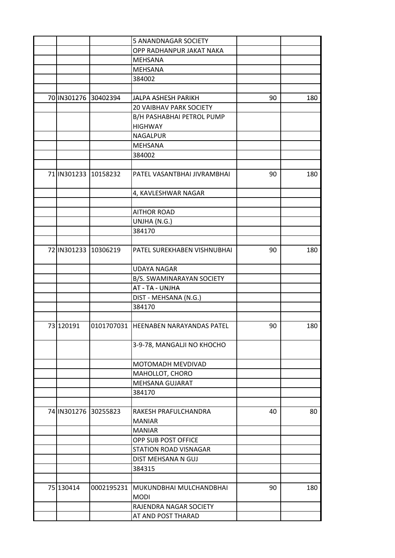|           |                      | 5 ANANDNAGAR SOCIETY                 |    |     |
|-----------|----------------------|--------------------------------------|----|-----|
|           |                      | OPP RADHANPUR JAKAT NAKA             |    |     |
|           |                      | MEHSANA                              |    |     |
|           |                      | <b>MEHSANA</b>                       |    |     |
|           |                      | 384002                               |    |     |
|           |                      |                                      |    |     |
|           | 70 IN301276 30402394 | JALPA ASHESH PARIKH                  | 90 | 180 |
|           |                      | <b>20 VAIBHAV PARK SOCIETY</b>       |    |     |
|           |                      | B/H PASHABHAI PETROL PUMP            |    |     |
|           |                      | <b>HIGHWAY</b>                       |    |     |
|           |                      | <b>NAGALPUR</b>                      |    |     |
|           |                      | <b>MEHSANA</b>                       |    |     |
|           |                      | 384002                               |    |     |
|           |                      |                                      |    |     |
|           | 71 IN301233 10158232 | PATEL VASANTBHAI JIVRAMBHAI          | 90 | 180 |
|           |                      | 4, KAVLESHWAR NAGAR                  |    |     |
|           |                      |                                      |    |     |
|           |                      | <b>AITHOR ROAD</b>                   |    |     |
|           |                      | UNJHA (N.G.)                         |    |     |
|           |                      | 384170                               |    |     |
|           |                      |                                      |    |     |
|           | 72 IN301233 10306219 | PATEL SUREKHABEN VISHNUBHAI          | 90 | 180 |
|           |                      | <b>UDAYA NAGAR</b>                   |    |     |
|           |                      | B/S. SWAMINARAYAN SOCIETY            |    |     |
|           |                      | AT - TA - UNJHA                      |    |     |
|           |                      | DIST - MEHSANA (N.G.)                |    |     |
|           |                      | 384170                               |    |     |
|           |                      |                                      |    |     |
| 73 120191 |                      | 0101707031 HEENABEN NARAYANDAS PATEL | 90 | 180 |
|           |                      | 3-9-78, MANGALJI NO KHOCHO           |    |     |
|           |                      | MOTOMADH MEVDIVAD                    |    |     |
|           |                      | MAHOLLOT, CHORO                      |    |     |
|           |                      | MEHSANA GUJARAT                      |    |     |
|           |                      | 384170                               |    |     |
|           |                      |                                      |    |     |
|           | 74 IN301276 30255823 | RAKESH PRAFULCHANDRA                 | 40 | 80  |
|           |                      | <b>MANIAR</b>                        |    |     |
|           |                      | <b>MANIAR</b>                        |    |     |
|           |                      | OPP SUB POST OFFICE                  |    |     |
|           |                      | STATION ROAD VISNAGAR                |    |     |
|           |                      | DIST MEHSANA N GUJ                   |    |     |
|           |                      | 384315                               |    |     |
|           |                      |                                      |    |     |
| 75 130414 | 0002195231           | MUKUNDBHAI MULCHANDBHAI              | 90 | 180 |
|           |                      | <b>MODI</b>                          |    |     |
|           |                      | RAJENDRA NAGAR SOCIETY               |    |     |
|           |                      | AT AND POST THARAD                   |    |     |
|           |                      |                                      |    |     |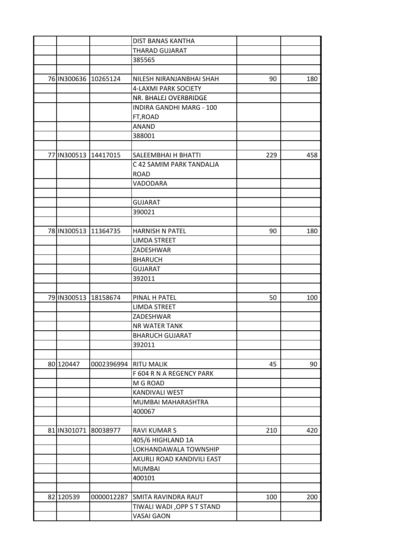|             |                       | <b>DIST BANAS KANTHA</b>    |     |     |
|-------------|-----------------------|-----------------------------|-----|-----|
|             |                       | THARAD GUJARAT              |     |     |
|             |                       | 385565                      |     |     |
|             |                       |                             |     |     |
| 76 IN300636 | 10265124              | NILESH NIRANJANBHAI SHAH    | 90  | 180 |
|             |                       | 4-LAXMI PARK SOCIETY        |     |     |
|             |                       | NR. BHALEJ OVERBRIDGE       |     |     |
|             |                       | INDIRA GANDHI MARG - 100    |     |     |
|             |                       | FT, ROAD                    |     |     |
|             |                       | <b>ANAND</b>                |     |     |
|             |                       | 388001                      |     |     |
|             |                       |                             |     |     |
| 77 IN300513 | 14417015              | SALEEMBHAI H BHATTI         | 229 | 458 |
|             |                       | C 42 SAMIM PARK TANDALJA    |     |     |
|             |                       | <b>ROAD</b>                 |     |     |
|             |                       | VADODARA                    |     |     |
|             |                       |                             |     |     |
|             |                       | <b>GUJARAT</b>              |     |     |
|             |                       | 390021                      |     |     |
|             |                       |                             |     |     |
| 78 IN300513 | 11364735              | <b>HARNISH N PATEL</b>      | 90  | 180 |
|             |                       | <b>LIMDA STREET</b>         |     |     |
|             |                       | ZADESHWAR                   |     |     |
|             |                       | <b>BHARUCH</b>              |     |     |
|             |                       | <b>GUJARAT</b>              |     |     |
|             |                       | 392011                      |     |     |
|             |                       |                             |     |     |
| 79 IN300513 | 18158674              | PINAL H PATEL               | 50  | 100 |
|             |                       | <b>LIMDA STREET</b>         |     |     |
|             |                       | ZADESHWAR                   |     |     |
|             |                       | <b>NR WATER TANK</b>        |     |     |
|             |                       | <b>BHARUCH GUJARAT</b>      |     |     |
|             |                       | 392011                      |     |     |
|             |                       |                             |     |     |
| 80 120447   | 0002396994 RITU MALIK |                             | 45  | 90  |
|             |                       | F 604 R N A REGENCY PARK    |     |     |
|             |                       | M G ROAD                    |     |     |
|             |                       | KANDIVALI WEST              |     |     |
|             |                       | MUMBAI MAHARASHTRA          |     |     |
|             |                       | 400067                      |     |     |
|             |                       |                             |     |     |
| 81 IN301071 | 80038977              | <b>RAVI KUMAR S</b>         | 210 | 420 |
|             |                       | 405/6 HIGHLAND 1A           |     |     |
|             |                       | LOKHANDAWALA TOWNSHIP       |     |     |
|             |                       |                             |     |     |
|             |                       | AKURLI ROAD KANDIVILI EAST  |     |     |
|             |                       | <b>MUMBAI</b>               |     |     |
|             |                       | 400101                      |     |     |
|             |                       |                             |     |     |
| 82 120539   | 0000012287            | <b>SMITA RAVINDRA RAUT</b>  | 100 | 200 |
|             |                       | TIWALI WADI , OPP S T STAND |     |     |
|             |                       | <b>VASAI GAON</b>           |     |     |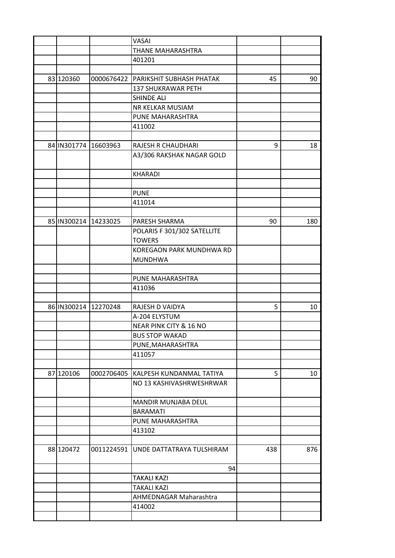|                      |                      | <b>VASAI</b>                |     |     |
|----------------------|----------------------|-----------------------------|-----|-----|
|                      |                      | THANE MAHARASHTRA           |     |     |
|                      |                      | 401201                      |     |     |
|                      |                      |                             |     |     |
| 83 120360            | 0000676422           | PARIKSHIT SUBHASH PHATAK    | 45  | 90  |
|                      |                      | <b>137 SHUKRAWAR PETH</b>   |     |     |
|                      |                      | <b>SHINDE ALI</b>           |     |     |
|                      |                      | NR KELKAR MUSIAM            |     |     |
|                      |                      | PUNE MAHARASHTRA            |     |     |
|                      |                      | 411002                      |     |     |
|                      |                      |                             |     |     |
| 84 IN301774 16603963 |                      | RAJESH R CHAUDHARI          | 9   | 18  |
|                      |                      | A3/306 RAKSHAK NAGAR GOLD   |     |     |
|                      |                      |                             |     |     |
|                      |                      | <b>KHARADI</b>              |     |     |
|                      |                      |                             |     |     |
|                      |                      | <b>PUNE</b>                 |     |     |
|                      |                      | 411014                      |     |     |
|                      |                      |                             |     |     |
|                      | 85 IN300214 14233025 | PARESH SHARMA               | 90  | 180 |
|                      |                      | POLARIS F 301/302 SATELLITE |     |     |
|                      |                      | <b>TOWERS</b>               |     |     |
|                      |                      | KOREGAON PARK MUNDHWA RD    |     |     |
|                      |                      | <b>MUNDHWA</b>              |     |     |
|                      |                      |                             |     |     |
|                      |                      | PUNE MAHARASHTRA            |     |     |
|                      |                      | 411036                      |     |     |
|                      |                      |                             |     |     |
| 86 IN300214 12270248 |                      | RAJESH D VAIDYA             | 5   | 10  |
|                      |                      | A-204 ELYSTUM               |     |     |
|                      |                      | NEAR PINK CITY & 16 NO      |     |     |
|                      |                      | <b>BUS STOP WAKAD</b>       |     |     |
|                      |                      | PUNE, MAHARASHTRA           |     |     |
|                      |                      | 411057                      |     |     |
|                      |                      |                             |     |     |
| 87 120106            | 0002706405           | KALPESH KUNDANMAL TATIYA    | 5   | 10  |
|                      |                      | NO 13 KASHIVASHRWESHRWAR    |     |     |
|                      |                      |                             |     |     |
|                      |                      | MANDIR MUNJABA DEUL         |     |     |
|                      |                      | <b>BARAMATI</b>             |     |     |
|                      |                      | PUNE MAHARASHTRA            |     |     |
|                      |                      | 413102                      |     |     |
|                      |                      |                             |     |     |
| 88 120472            | 0011224591           | UNDE DATTATRAYA TULSHIRAM   | 438 | 876 |
|                      |                      |                             |     |     |
|                      |                      | 94                          |     |     |
|                      |                      | <b>TAKALI KAZI</b>          |     |     |
|                      |                      | <b>TAKALI KAZI</b>          |     |     |
|                      |                      | AHMEDNAGAR Maharashtra      |     |     |
|                      |                      | 414002                      |     |     |
|                      |                      |                             |     |     |
|                      |                      |                             |     |     |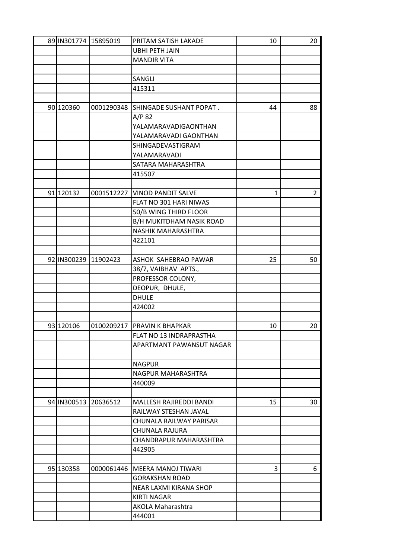|           | 89 IN301774 15895019 | PRITAM SATISH LAKADE           | 10 | 20             |
|-----------|----------------------|--------------------------------|----|----------------|
|           |                      | <b>UBHI PETH JAIN</b>          |    |                |
|           |                      | <b>MANDIR VITA</b>             |    |                |
|           |                      |                                |    |                |
|           |                      | SANGLI                         |    |                |
|           |                      | 415311                         |    |                |
|           |                      |                                |    |                |
| 90 120360 | 0001290348           | SHINGADE SUSHANT POPAT.        | 44 | 88             |
|           |                      | $A/P$ 82                       |    |                |
|           |                      | YALAMARAVADIGAONTHAN           |    |                |
|           |                      | YALAMARAVADI GAONTHAN          |    |                |
|           |                      | SHINGADEVASTIGRAM              |    |                |
|           |                      | YALAMARAVADI                   |    |                |
|           |                      | SATARA MAHARASHTRA             |    |                |
|           |                      | 415507                         |    |                |
|           |                      |                                |    |                |
| 91 120132 |                      | 0001512227 VINOD PANDIT SALVE  | 1  | $\overline{2}$ |
|           |                      | FLAT NO 301 HARI NIWAS         |    |                |
|           |                      | 50/B WING THIRD FLOOR          |    |                |
|           |                      | B/H MUKITDHAM NASIK ROAD       |    |                |
|           |                      | NASHIK MAHARASHTRA             |    |                |
|           |                      | 422101                         |    |                |
|           |                      |                                |    |                |
|           | 92 IN300239 11902423 | ASHOK SAHEBRAO PAWAR           | 25 | 50             |
|           |                      | 38/7, VAIBHAV APTS.,           |    |                |
|           |                      | PROFESSOR COLONY,              |    |                |
|           |                      | DEOPUR, DHULE,                 |    |                |
|           |                      | <b>DHULE</b>                   |    |                |
|           |                      | 424002                         |    |                |
|           |                      |                                |    |                |
| 93 120106 | 0100209217           | <b>PRAVIN K BHAPKAR</b>        | 10 | 20             |
|           |                      | FLAT NO 13 INDRAPRASTHA        |    |                |
|           |                      | APARTMANT PAWANSUT NAGAR       |    |                |
|           |                      |                                |    |                |
|           |                      | <b>NAGPUR</b>                  |    |                |
|           |                      | NAGPUR MAHARASHTRA             |    |                |
|           |                      | 440009                         |    |                |
|           |                      |                                |    |                |
|           | 94 IN300513 20636512 | <b>MALLESH RAJIREDDI BANDI</b> | 15 | 30             |
|           |                      | RAILWAY STESHAN JAVAL          |    |                |
|           |                      | CHUNALA RAILWAY PARISAR        |    |                |
|           |                      | CHUNALA RAJURA                 |    |                |
|           |                      | CHANDRAPUR MAHARASHTRA         |    |                |
|           |                      | 442905                         |    |                |
|           |                      |                                |    |                |
| 95 130358 | 0000061446           | MEERA MANOJ TIWARI             | 3  | 6              |
|           |                      | <b>GORAKSHAN ROAD</b>          |    |                |
|           |                      | NEAR LAXMI KIRANA SHOP         |    |                |
|           |                      | <b>KIRTI NAGAR</b>             |    |                |
|           |                      | AKOLA Maharashtra              |    |                |
|           |                      | 444001                         |    |                |
|           |                      |                                |    |                |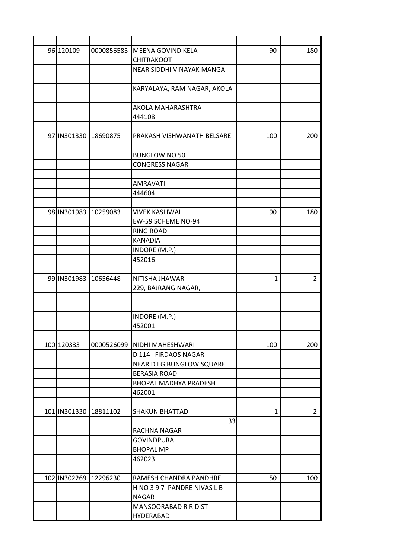| 96 120109             | 0000856585 | MEENA GOVIND KELA            | 90           | 180            |
|-----------------------|------------|------------------------------|--------------|----------------|
|                       |            | <b>CHITRAKOOT</b>            |              |                |
|                       |            | NEAR SIDDHI VINAYAK MANGA    |              |                |
|                       |            | KARYALAYA, RAM NAGAR, AKOLA  |              |                |
|                       |            | AKOLA MAHARASHTRA            |              |                |
|                       |            | 444108                       |              |                |
|                       |            |                              |              |                |
| 97 IN301330 18690875  |            | PRAKASH VISHWANATH BELSARE   | 100          | 200            |
|                       |            | <b>BUNGLOW NO 50</b>         |              |                |
|                       |            | <b>CONGRESS NAGAR</b>        |              |                |
|                       |            |                              |              |                |
|                       |            | <b>AMRAVATI</b>              |              |                |
|                       |            | 444604                       |              |                |
|                       |            |                              |              |                |
| 98 IN301983           | 10259083   | <b>VIVEK KASLIWAL</b>        | 90           | 180            |
|                       |            | EW-59 SCHEME NO-94           |              |                |
|                       |            | <b>RING ROAD</b>             |              |                |
|                       |            | <b>KANADIA</b>               |              |                |
|                       |            | INDORE (M.P.)                |              |                |
|                       |            | 452016                       |              |                |
|                       |            |                              |              |                |
| 99 IN301983 10656448  |            | NITISHA JHAWAR               | $\mathbf{1}$ | 2              |
|                       |            | 229, BAJRANG NAGAR,          |              |                |
|                       |            |                              |              |                |
|                       |            |                              |              |                |
|                       |            | INDORE (M.P.)                |              |                |
|                       |            | 452001                       |              |                |
|                       |            |                              |              |                |
| 100 120333            | 0000526099 | NIDHI MAHESHWARI             | 100          | 200            |
|                       |            | D 114 FIRDAOS NAGAR          |              |                |
|                       |            | NEAR D I G BUNGLOW SQUARE    |              |                |
|                       |            | <b>BERASIA ROAD</b>          |              |                |
|                       |            | <b>BHOPAL MADHYA PRADESH</b> |              |                |
|                       |            | 462001                       |              |                |
|                       |            |                              |              |                |
| 101 IN301330 18811102 |            | <b>SHAKUN BHATTAD</b>        | 1            | $\overline{2}$ |
|                       |            | 33                           |              |                |
|                       |            | RACHNA NAGAR                 |              |                |
|                       |            | <b>GOVINDPURA</b>            |              |                |
|                       |            | <b>BHOPAL MP</b>             |              |                |
|                       |            | 462023                       |              |                |
|                       |            |                              |              |                |
| 102 IN302269          | 12296230   | RAMESH CHANDRA PANDHRE       | 50           | 100            |
|                       |            | H NO 397 PANDRE NIVAS L B    |              |                |
|                       |            | <b>NAGAR</b>                 |              |                |
|                       |            | MANSOORABAD R R DIST         |              |                |
|                       |            | HYDERABAD                    |              |                |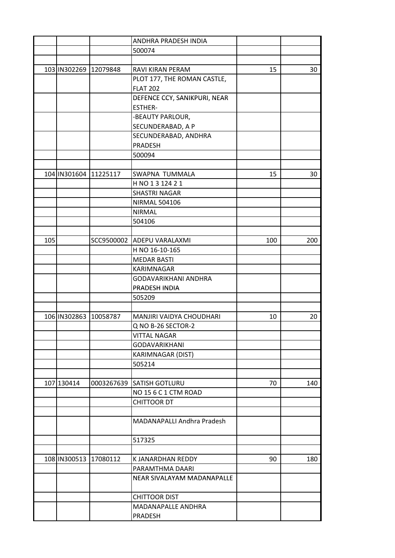|     |                       |                       | ANDHRA PRADESH INDIA         |     |     |
|-----|-----------------------|-----------------------|------------------------------|-----|-----|
|     |                       |                       | 500074                       |     |     |
|     |                       |                       |                              |     |     |
|     | 103 IN302269 12079848 |                       | RAVI KIRAN PERAM             | 15  | 30  |
|     |                       |                       | PLOT 177, THE ROMAN CASTLE,  |     |     |
|     |                       |                       | <b>FLAT 202</b>              |     |     |
|     |                       |                       | DEFENCE CCY, SANIKPURI, NEAR |     |     |
|     |                       |                       | <b>ESTHER-</b>               |     |     |
|     |                       |                       | -BEAUTY PARLOUR,             |     |     |
|     |                       |                       | SECUNDERABAD, A P            |     |     |
|     |                       |                       | SECUNDERABAD, ANDHRA         |     |     |
|     |                       |                       | PRADESH                      |     |     |
|     |                       |                       | 500094                       |     |     |
|     |                       |                       |                              |     |     |
|     |                       | 104 IN301604 11225117 | SWAPNA TUMMALA               | 15  | 30  |
|     |                       |                       |                              |     |     |
|     |                       |                       | H NO 1 3 124 2 1             |     |     |
|     |                       |                       | <b>SHASTRI NAGAR</b>         |     |     |
|     |                       |                       | <b>NIRMAL 504106</b>         |     |     |
|     |                       |                       | <b>NIRMAL</b>                |     |     |
|     |                       |                       | 504106                       |     |     |
|     |                       |                       |                              |     |     |
| 105 |                       |                       | SCC9500002 ADEPU VARALAXMI   | 100 | 200 |
|     |                       |                       | H NO 16-10-165               |     |     |
|     |                       |                       | <b>MEDAR BASTI</b>           |     |     |
|     |                       |                       | KARIMNAGAR                   |     |     |
|     |                       |                       | GODAVARIKHANI ANDHRA         |     |     |
|     |                       |                       | PRADESH INDIA                |     |     |
|     |                       |                       | 505209                       |     |     |
|     |                       |                       |                              |     |     |
|     | 106 IN302863          | 10058787              | MANJIRI VAIDYA CHOUDHARI     | 10  | 20  |
|     |                       |                       | Q NO B-26 SECTOR-2           |     |     |
|     |                       |                       | VITTAL NAGAR                 |     |     |
|     |                       |                       | <b>GODAVARIKHANI</b>         |     |     |
|     |                       |                       | KARIMNAGAR (DIST)            |     |     |
|     |                       |                       | 505214                       |     |     |
|     |                       |                       |                              |     |     |
|     | 107 130414            | 0003267639            | <b>SATISH GOTLURU</b>        | 70  | 140 |
|     |                       |                       | NO 15 6 C 1 CTM ROAD         |     |     |
|     |                       |                       | <b>CHITTOOR DT</b>           |     |     |
|     |                       |                       |                              |     |     |
|     |                       |                       | MADANAPALLI Andhra Pradesh   |     |     |
|     |                       |                       |                              |     |     |
|     |                       |                       | 517325                       |     |     |
|     |                       |                       |                              |     |     |
|     | 108 IN300513 17080112 |                       | K JANARDHAN REDDY            | 90  | 180 |
|     |                       |                       |                              |     |     |
|     |                       |                       | PARAMTHMA DAARI              |     |     |
|     |                       |                       | NEAR SIVALAYAM MADANAPALLE   |     |     |
|     |                       |                       |                              |     |     |
|     |                       |                       | <b>CHITTOOR DIST</b>         |     |     |
|     |                       |                       | MADANAPALLE ANDHRA           |     |     |
|     |                       |                       | PRADESH                      |     |     |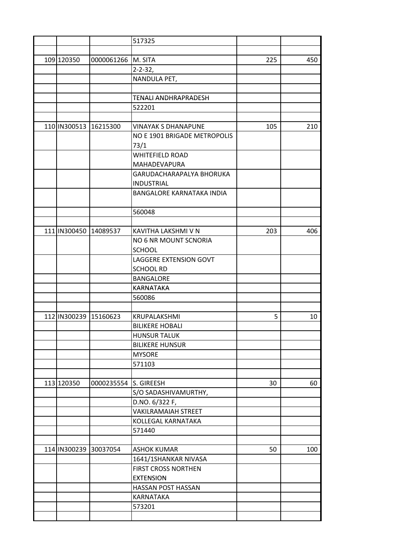|                       |                       | 517325                           |     |     |
|-----------------------|-----------------------|----------------------------------|-----|-----|
|                       |                       |                                  |     |     |
| 109 120350            | 0000061266 M. SITA    |                                  | 225 | 450 |
|                       |                       | $2 - 2 - 32$                     |     |     |
|                       |                       | NANDULA PET,                     |     |     |
|                       |                       |                                  |     |     |
|                       |                       | <b>TENALI ANDHRAPRADESH</b>      |     |     |
|                       |                       | 522201                           |     |     |
|                       |                       |                                  |     |     |
|                       | 110 IN300513 16215300 | <b>VINAYAK S DHANAPUNE</b>       | 105 | 210 |
|                       |                       | NO E 1901 BRIGADE METROPOLIS     |     |     |
|                       |                       | 73/1                             |     |     |
|                       |                       | <b>WHITEFIELD ROAD</b>           |     |     |
|                       |                       | MAHADEVAPURA                     |     |     |
|                       |                       | GARUDACHARAPALYA BHORUKA         |     |     |
|                       |                       | <b>INDUSTRIAL</b>                |     |     |
|                       |                       | <b>BANGALORE KARNATAKA INDIA</b> |     |     |
|                       |                       |                                  |     |     |
|                       |                       | 560048                           |     |     |
|                       |                       |                                  |     |     |
|                       | 111 IN300450 14089537 | KAVITHA LAKSHMI V N              | 203 | 406 |
|                       |                       | NO 6 NR MOUNT SCNORIA            |     |     |
|                       |                       | <b>SCHOOL</b>                    |     |     |
|                       |                       | LAGGERE EXTENSION GOVT           |     |     |
|                       |                       | <b>SCHOOL RD</b>                 |     |     |
|                       |                       | <b>BANGALORE</b>                 |     |     |
|                       |                       | KARNATAKA                        |     |     |
|                       |                       | 560086                           |     |     |
|                       |                       |                                  |     |     |
| 112 IN300239 15160623 |                       | KRUPALAKSHMI                     | 5   | 10  |
|                       |                       | <b>BILIKERE HOBALI</b>           |     |     |
|                       |                       | <b>HUNSUR TALUK</b>              |     |     |
|                       |                       | <b>BILIKERE HUNSUR</b>           |     |     |
|                       |                       | <b>MYSORE</b>                    |     |     |
|                       |                       | 571103                           |     |     |
|                       |                       |                                  |     |     |
| 113 120350            | 0000235554            | S. GIREESH                       | 30  | 60  |
|                       |                       | S/O SADASHIVAMURTHY,             |     |     |
|                       |                       | D.NO. 6/322 F,                   |     |     |
|                       |                       | VAKILRAMAIAH STREET              |     |     |
|                       |                       | KOLLEGAL KARNATAKA               |     |     |
|                       |                       | 571440                           |     |     |
|                       |                       |                                  |     |     |
| 114 IN300239          | 30037054              | <b>ASHOK KUMAR</b>               | 50  | 100 |
|                       |                       |                                  |     |     |
|                       |                       | 1641/1SHANKAR NIVASA             |     |     |
|                       |                       | FIRST CROSS NORTHEN              |     |     |
|                       |                       | <b>EXTENSION</b>                 |     |     |
|                       |                       | HASSAN POST HASSAN               |     |     |
|                       |                       | KARNATAKA                        |     |     |
|                       |                       | 573201                           |     |     |
|                       |                       |                                  |     |     |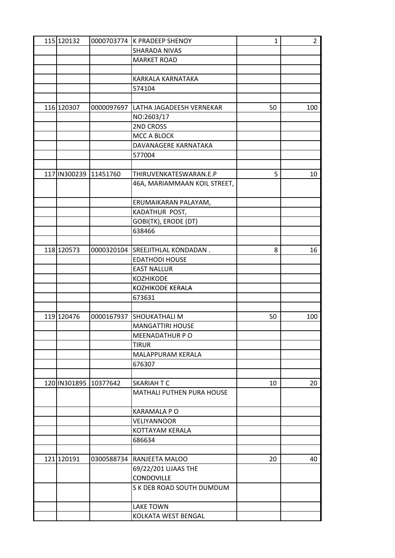| 115 120132            |            | 0000703774 K PRADEEP SHENOY      | $\mathbf{1}$ | $\overline{2}$ |
|-----------------------|------------|----------------------------------|--------------|----------------|
|                       |            | SHARADA NIVAS                    |              |                |
|                       |            | <b>MARKET ROAD</b>               |              |                |
|                       |            |                                  |              |                |
|                       |            | KARKALA KARNATAKA                |              |                |
|                       |            | 574104                           |              |                |
|                       |            |                                  |              |                |
| 116 120307            | 0000097697 | LATHA JAGADEESH VERNEKAR         | 50           | 100            |
|                       |            | NO:2603/17                       |              |                |
|                       |            | 2ND CROSS                        |              |                |
|                       |            | MCC A BLOCK                      |              |                |
|                       |            | DAVANAGERE KARNATAKA             |              |                |
|                       |            | 577004                           |              |                |
|                       |            |                                  |              |                |
| 117 IN300239 11451760 |            | THIRUVENKATESWARAN.E.P           | 5            | 10             |
|                       |            | 46A, MARIAMMAAN KOIL STREET,     |              |                |
|                       |            |                                  |              |                |
|                       |            | ERUMAIKARAN PALAYAM,             |              |                |
|                       |            | KADATHUR POST,                   |              |                |
|                       |            | GOBI(TK), ERODE (DT)             |              |                |
|                       |            | 638466                           |              |                |
|                       |            |                                  |              |                |
| 118 120573            |            | 0000320104 SREEJITHLAL KONDADAN. | 8            | 16             |
|                       |            | <b>EDATHODI HOUSE</b>            |              |                |
|                       |            | <b>EAST NALLUR</b>               |              |                |
|                       |            | <b>KOZHIKODE</b>                 |              |                |
|                       |            | <b>KOZHIKODE KERALA</b>          |              |                |
|                       |            | 673631                           |              |                |
|                       |            |                                  |              |                |
| 119 120476            | 0000167937 | <b>SHOUKATHALI M</b>             | 50           | 100            |
|                       |            | <b>MANGATTIRI HOUSE</b>          |              |                |
|                       |            | MEENADATHUR P O                  |              |                |
|                       |            | <b>TIRUR</b>                     |              |                |
|                       |            | MALAPPURAM KERALA                |              |                |
|                       |            | 676307                           |              |                |
|                       |            |                                  |              |                |
| 120 IN301895 10377642 |            | SKARIAH T C                      | 10           | 20             |
|                       |            | MATHALI PUTHEN PURA HOUSE        |              |                |
|                       |            |                                  |              |                |
|                       |            | <b>KARAMALA P O</b>              |              |                |
|                       |            | VELIYANNOOR                      |              |                |
|                       |            | KOTTAYAM KERALA                  |              |                |
|                       |            | 686634                           |              |                |
|                       |            |                                  |              |                |
| 121 120191            |            | 0300588734 RANJEETA MALOO        | 20           | 40             |
|                       |            | 69/22/201 UJAAS THE              |              |                |
|                       |            | <b>CONDOVILLE</b>                |              |                |
|                       |            | S K DEB ROAD SOUTH DUMDUM        |              |                |
|                       |            |                                  |              |                |
|                       |            | <b>LAKE TOWN</b>                 |              |                |
|                       |            | KOLKATA WEST BENGAL              |              |                |
|                       |            |                                  |              |                |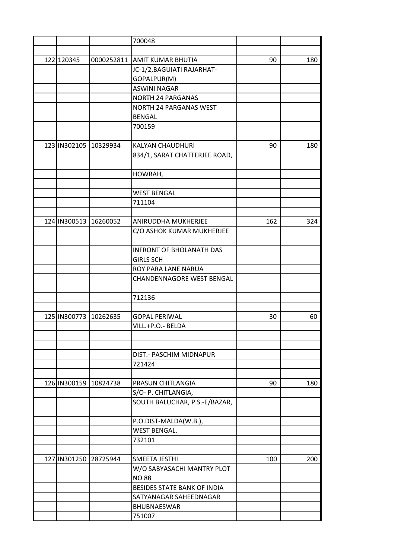|                       |            | 700048                           |     |     |
|-----------------------|------------|----------------------------------|-----|-----|
|                       |            |                                  |     |     |
| 122 120345            | 0000252811 | AMIT KUMAR BHUTIA                | 90  | 180 |
|                       |            | JC-1/2, BAGUIATI RAJARHAT-       |     |     |
|                       |            | GOPALPUR(M)                      |     |     |
|                       |            | <b>ASWINI NAGAR</b>              |     |     |
|                       |            | <b>NORTH 24 PARGANAS</b>         |     |     |
|                       |            | <b>NORTH 24 PARGANAS WEST</b>    |     |     |
|                       |            | <b>BENGAL</b>                    |     |     |
|                       |            | 700159                           |     |     |
|                       |            |                                  |     |     |
| 123 IN302105 10329934 |            | <b>KALYAN CHAUDHURI</b>          | 90  | 180 |
|                       |            | 834/1, SARAT CHATTERJEE ROAD,    |     |     |
|                       |            | HOWRAH,                          |     |     |
|                       |            |                                  |     |     |
|                       |            | <b>WEST BENGAL</b>               |     |     |
|                       |            | 711104                           |     |     |
|                       |            |                                  |     |     |
| 124 IN300513          | 16260052   | ANIRUDDHA MUKHERJEE              | 162 | 324 |
|                       |            | C/O ASHOK KUMAR MUKHERJEE        |     |     |
|                       |            | <b>INFRONT OF BHOLANATH DAS</b>  |     |     |
|                       |            | <b>GIRLS SCH</b>                 |     |     |
|                       |            | ROY PARA LANE NARUA              |     |     |
|                       |            | <b>CHANDENNAGORE WEST BENGAL</b> |     |     |
|                       |            | 712136                           |     |     |
|                       |            |                                  |     |     |
| 125 IN300773          | 10262635   | <b>GOPAL PERIWAL</b>             | 30  | 60  |
|                       |            | VILL.+P.O.- BELDA                |     |     |
|                       |            |                                  |     |     |
|                       |            |                                  |     |     |
|                       |            | DIST.- PASCHIM MIDNAPUR          |     |     |
|                       |            | 721424                           |     |     |
|                       |            |                                  |     |     |
| 126 IN300159 10824738 |            | <b>PRASUN CHITLANGIA</b>         | 90  | 180 |
|                       |            | S/O- P. CHITLANGIA,              |     |     |
|                       |            | SOUTH BALUCHAR, P.S.-E/BAZAR,    |     |     |
|                       |            | P.O.DIST-MALDA(W.B.),            |     |     |
|                       |            | <b>WEST BENGAL.</b>              |     |     |
|                       |            | 732101                           |     |     |
|                       |            |                                  |     |     |
| 127 IN301250 28725944 |            | SMEETA JESTHI                    | 100 | 200 |
|                       |            | W/O SABYASACHI MANTRY PLOT       |     |     |
|                       |            | <b>NO 88</b>                     |     |     |
|                       |            | BESIDES STATE BANK OF INDIA      |     |     |
|                       |            | SATYANAGAR SAHEEDNAGAR           |     |     |
|                       |            | <b>BHUBNAESWAR</b>               |     |     |
|                       |            | 751007                           |     |     |
|                       |            |                                  |     |     |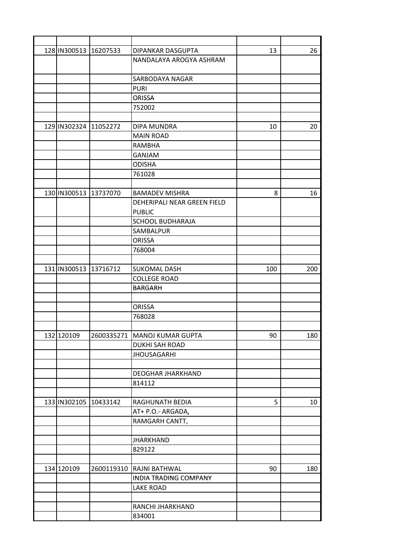| 128 IN300513 16207533 |            | DIPANKAR DASGUPTA              | 13  | 26  |
|-----------------------|------------|--------------------------------|-----|-----|
|                       |            | NANDALAYA AROGYA ASHRAM        |     |     |
|                       |            |                                |     |     |
|                       |            | SARBODAYA NAGAR                |     |     |
|                       |            | <b>PURI</b>                    |     |     |
|                       |            | <b>ORISSA</b>                  |     |     |
|                       |            | 752002                         |     |     |
|                       |            |                                |     |     |
| 129 IN302324 11052272 |            | <b>DIPA MUNDRA</b>             | 10  | 20  |
|                       |            | <b>MAIN ROAD</b>               |     |     |
|                       |            | <b>RAMBHA</b>                  |     |     |
|                       |            | GANJAM                         |     |     |
|                       |            | <b>ODISHA</b>                  |     |     |
|                       |            | 761028                         |     |     |
|                       |            |                                |     |     |
| 130 IN300513 13737070 |            | <b>BAMADEV MISHRA</b>          | 8   | 16  |
|                       |            | DEHERIPALI NEAR GREEN FIELD    |     |     |
|                       |            | <b>PUBLIC</b>                  |     |     |
|                       |            | <b>SCHOOL BUDHARAJA</b>        |     |     |
|                       |            | SAMBALPUR                      |     |     |
|                       |            | <b>ORISSA</b>                  |     |     |
|                       |            | 768004                         |     |     |
|                       |            |                                |     |     |
| 131 IN300513 13716712 |            | <b>SUKOMAL DASH</b>            | 100 | 200 |
|                       |            | <b>COLLEGE ROAD</b>            |     |     |
|                       |            | <b>BARGARH</b>                 |     |     |
|                       |            |                                |     |     |
|                       |            | <b>ORISSA</b>                  |     |     |
|                       |            |                                |     |     |
|                       |            | 768028                         |     |     |
|                       |            |                                |     |     |
| 132 120109            |            | 2600335271   MANOJ KUMAR GUPTA | 90  | 180 |
|                       |            | <b>DUKHI SAH ROAD</b>          |     |     |
|                       |            | <b>JHOUSAGARHI</b>             |     |     |
|                       |            |                                |     |     |
|                       |            | DEOGHAR JHARKHAND              |     |     |
|                       |            | 814112                         |     |     |
|                       |            |                                |     |     |
| 133 IN302105 10433142 |            | RAGHUNATH BEDIA                | 5   | 10  |
|                       |            | AT+ P.O.- ARGADA,              |     |     |
|                       |            | RAMGARH CANTT,                 |     |     |
|                       |            |                                |     |     |
|                       |            | <b>JHARKHAND</b>               |     |     |
|                       |            | 829122                         |     |     |
|                       |            |                                |     |     |
| 134 120109            | 2600119310 | RAJNI BATHWAL                  | 90  | 180 |
|                       |            | <b>INDIA TRADING COMPANY</b>   |     |     |
|                       |            | <b>LAKE ROAD</b>               |     |     |
|                       |            |                                |     |     |
|                       |            | RANCHI JHARKHAND               |     |     |
|                       |            | 834001                         |     |     |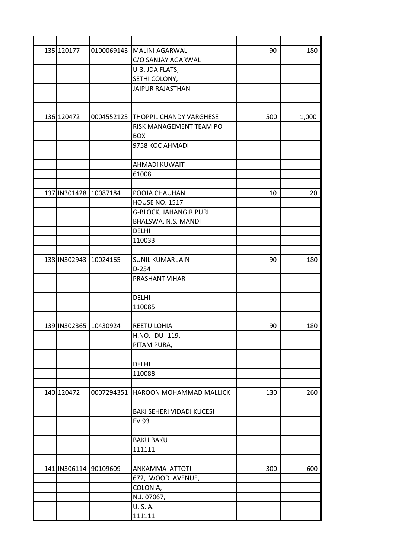| 135 120177            | 0100069143 | <b>MALINI AGARWAL</b>              | 90  | 180   |
|-----------------------|------------|------------------------------------|-----|-------|
|                       |            | C/O SANJAY AGARWAL                 |     |       |
|                       |            | U-3, JDA FLATS,                    |     |       |
|                       |            | SETHI COLONY,                      |     |       |
|                       |            | <b>JAIPUR RAJASTHAN</b>            |     |       |
|                       |            |                                    |     |       |
|                       |            |                                    |     |       |
| 136 120472            | 0004552123 | <b>THOPPIL CHANDY VARGHESE</b>     | 500 | 1,000 |
|                       |            | RISK MANAGEMENT TEAM PO            |     |       |
|                       |            | <b>BOX</b>                         |     |       |
|                       |            | 9758 KOC AHMADI                    |     |       |
|                       |            |                                    |     |       |
|                       |            | <b>AHMADI KUWAIT</b>               |     |       |
|                       |            | 61008                              |     |       |
|                       |            |                                    |     |       |
| 137 IN301428 10087184 |            | POOJA CHAUHAN                      | 10  | 20    |
|                       |            | <b>HOUSE NO. 1517</b>              |     |       |
|                       |            | <b>G-BLOCK, JAHANGIR PURI</b>      |     |       |
|                       |            | BHALSWA, N.S. MANDI                |     |       |
|                       |            | <b>DELHI</b>                       |     |       |
|                       |            | 110033                             |     |       |
|                       |            |                                    |     |       |
| 138 IN302943 10024165 |            |                                    |     |       |
|                       |            | <b>SUNIL KUMAR JAIN</b><br>$D-254$ | 90  | 180   |
|                       |            |                                    |     |       |
|                       |            | PRASHANT VIHAR                     |     |       |
|                       |            |                                    |     |       |
|                       |            | <b>DELHI</b>                       |     |       |
|                       |            | 110085                             |     |       |
|                       |            |                                    |     |       |
| 139 IN302365 10430924 |            | REETU LOHIA                        | 90  | 180   |
|                       |            | H.NO.- DU-119,                     |     |       |
|                       |            | PITAM PURA,                        |     |       |
|                       |            |                                    |     |       |
|                       |            | DELHI                              |     |       |
|                       |            | 110088                             |     |       |
|                       |            |                                    |     |       |
| 140 120472            | 0007294351 | <b>HAROON MOHAMMAD MALLICK</b>     | 130 | 260   |
|                       |            |                                    |     |       |
|                       |            | BAKI SEHERI VIDADI KUCESI          |     |       |
|                       |            | <b>EV 93</b>                       |     |       |
|                       |            |                                    |     |       |
|                       |            | <b>BAKU BAKU</b>                   |     |       |
|                       |            | 111111                             |     |       |
|                       |            |                                    |     |       |
| 141 IN306114 90109609 |            | ANKAMMA ATTOTI                     | 300 | 600   |
|                       |            | 672, WOOD AVENUE,                  |     |       |
|                       |            | COLONIA,                           |     |       |
|                       |            | N.J. 07067,                        |     |       |
|                       |            | U.S.A.                             |     |       |
|                       |            | 111111                             |     |       |
|                       |            |                                    |     |       |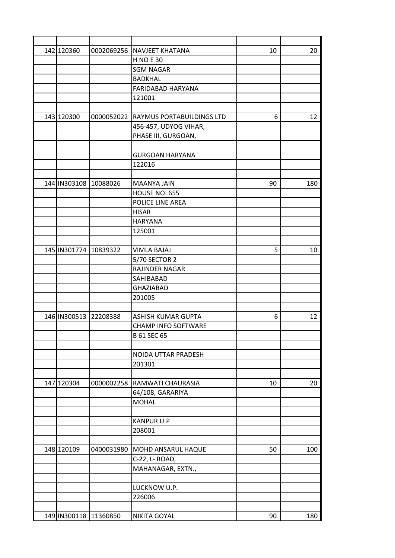| 142 120360            |            | 0002069256 NAVJEET KHATANA | 10 | 20  |
|-----------------------|------------|----------------------------|----|-----|
|                       |            | <b>H NO E 30</b>           |    |     |
|                       |            | <b>SGM NAGAR</b>           |    |     |
|                       |            | <b>BADKHAL</b>             |    |     |
|                       |            | FARIDABAD HARYANA          |    |     |
|                       |            | 121001                     |    |     |
|                       |            |                            |    |     |
| 143 120300            | 0000052022 | RAYMUS PORTABUILDINGS LTD  | 6  | 12  |
|                       |            | 456-457, UDYOG VIHAR,      |    |     |
|                       |            | PHASE III, GURGOAN,        |    |     |
|                       |            |                            |    |     |
|                       |            | <b>GURGOAN HARYANA</b>     |    |     |
|                       |            | 122016                     |    |     |
|                       |            |                            |    |     |
| 144 IN303108 10088026 |            | <b>MAANYA JAIN</b>         | 90 | 180 |
|                       |            | HOUSE NO. 655              |    |     |
|                       |            | POLICE LINE AREA           |    |     |
|                       |            | <b>HISAR</b>               |    |     |
|                       |            | <b>HARYANA</b>             |    |     |
|                       |            | 125001                     |    |     |
|                       |            |                            |    |     |
| 145 IN301774 10839322 |            | <b>VIMLA BAJAJ</b>         | 5  | 10  |
|                       |            | 5/70 SECTOR 2              |    |     |
|                       |            | RAJINDER NAGAR             |    |     |
|                       |            | SAHIBABAD                  |    |     |
|                       |            | <b>GHAZIABAD</b>           |    |     |
|                       |            | 201005                     |    |     |
|                       |            |                            |    |     |
| 146 IN300513 22208388 |            | ASHISH KUMAR GUPTA         | 6  | 12  |
|                       |            | <b>CHAMP INFO SOFTWARE</b> |    |     |
|                       |            | <b>B 61 SEC 65</b>         |    |     |
|                       |            |                            |    |     |
|                       |            | NOIDA UTTAR PRADESH        |    |     |
|                       |            | 201301                     |    |     |
|                       |            |                            |    |     |
| 147 120304            | 0000002258 | RAMWATI CHAURASIA          | 10 | 20  |
|                       |            | 64/108, GARARIYA           |    |     |
|                       |            | <b>MOHAL</b>               |    |     |
|                       |            |                            |    |     |
|                       |            | <b>KANPUR U.P</b>          |    |     |
|                       |            | 208001                     |    |     |
|                       |            |                            |    |     |
| 148 120109            | 0400031980 | MOHD ANSARUL HAQUE         | 50 | 100 |
|                       |            | C-22, L- ROAD,             |    |     |
|                       |            | MAHANAGAR, EXTN.,          |    |     |
|                       |            |                            |    |     |
|                       |            | LUCKNOW U.P.               |    |     |
|                       |            | 226006                     |    |     |
|                       |            |                            |    |     |
| 149 IN300118 11360850 |            | NIKITA GOYAL               | 90 | 180 |
|                       |            |                            |    |     |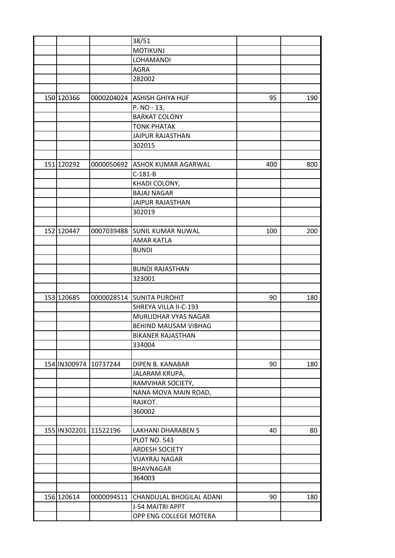|            |                       | 38/51                              |     |     |
|------------|-----------------------|------------------------------------|-----|-----|
|            |                       | <b>MOTIKUNJ</b>                    |     |     |
|            |                       | LOHAMANDI                          |     |     |
|            |                       | <b>AGRA</b>                        |     |     |
|            |                       | 282002                             |     |     |
|            |                       |                                    |     |     |
| 150 120366 |                       | 0000204024 ASHISH GHIYA HUF        | 95  | 190 |
|            |                       | P. NO - 13,                        |     |     |
|            |                       | <b>BARKAT COLONY</b>               |     |     |
|            |                       | <b>TONK PHATAK</b>                 |     |     |
|            |                       | <b>JAIPUR RAJASTHAN</b>            |     |     |
|            |                       | 302015                             |     |     |
|            |                       |                                    |     |     |
| 151 120292 | 0000050692            | <b>ASHOK KUMAR AGARWAL</b>         | 400 | 800 |
|            |                       | $C-181-B$                          |     |     |
|            |                       | KHADI COLONY,                      |     |     |
|            |                       | <b>BAJAJ NAGAR</b>                 |     |     |
|            |                       | <b>JAIPUR RAJASTHAN</b>            |     |     |
|            |                       | 302019                             |     |     |
|            |                       |                                    |     |     |
| 152 120447 | 0007039488            | <b>SUNIL KUMAR NUWAL</b>           | 100 | 200 |
|            |                       | <b>AMAR KATLA</b>                  |     |     |
|            |                       | <b>BUNDI</b>                       |     |     |
|            |                       |                                    |     |     |
|            |                       | <b>BUNDI RAJASTHAN</b>             |     |     |
|            |                       | 323001                             |     |     |
|            |                       |                                    |     |     |
| 153 120685 | 0000028514            | <b>SUNITA PUROHIT</b>              | 90  | 180 |
|            |                       | SHREYA VILLA II-C-193              |     |     |
|            |                       | MURLIDHAR VYAS NAGAR               |     |     |
|            |                       | BEHIND MAUSAM VIBHAG               |     |     |
|            |                       |                                    |     |     |
|            |                       | <b>BIKANER RAJASTHAN</b><br>334004 |     |     |
|            |                       |                                    |     |     |
|            |                       |                                    |     |     |
|            | 154 IN300974 10737244 | DIPEN B. KANABAR                   | 90  | 180 |
|            |                       | JALARAM KRUPA,                     |     |     |
|            |                       | RAMVIHAR SOCIETY,                  |     |     |
|            |                       | NANA MOVA MAIN ROAD,               |     |     |
|            |                       | RAJKOT.                            |     |     |
|            |                       | 360002                             |     |     |
|            |                       |                                    |     |     |
|            | 155 IN302201 11522196 | LAKHANI DHARABEN S                 | 40  | 80  |
|            |                       | <b>PLOT NO. 543</b>                |     |     |
|            |                       | <b>ARDESH SOCIETY</b>              |     |     |
|            |                       | <b>VIJAYRAJ NAGAR</b>              |     |     |
|            |                       | <b>BHAVNAGAR</b>                   |     |     |
|            |                       | 364003                             |     |     |
|            |                       |                                    |     |     |
| 156 120614 | 0000094511            | CHANDULAL BHOGILAL ADANI           | 90  | 180 |
|            |                       | J-54 MAITRI APPT                   |     |     |
|            |                       | OPP ENG COLLEGE MOTERA             |     |     |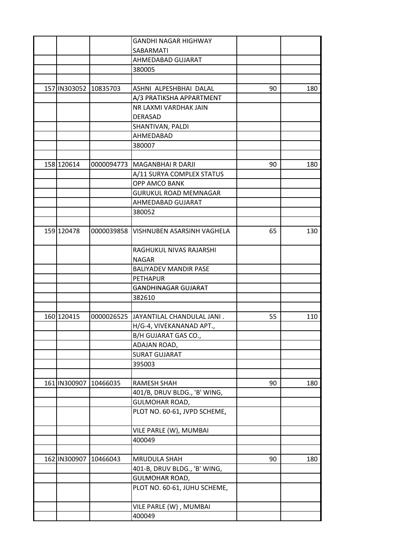|              |                       | <b>GANDHI NAGAR HIGHWAY</b>  |    |     |
|--------------|-----------------------|------------------------------|----|-----|
|              |                       | SABARMATI                    |    |     |
|              |                       | AHMEDABAD GUJARAT            |    |     |
|              |                       | 380005                       |    |     |
|              |                       |                              |    |     |
|              | 157 IN303052 10835703 | ASHNI ALPESHBHAI DALAL       | 90 | 180 |
|              |                       | A/3 PRATIKSHA APPARTMENT     |    |     |
|              |                       | NR LAXMI VARDHAK JAIN        |    |     |
|              |                       | <b>DERASAD</b>               |    |     |
|              |                       | SHANTIVAN, PALDI             |    |     |
|              |                       | AHMEDABAD                    |    |     |
|              |                       | 380007                       |    |     |
|              |                       |                              |    |     |
| 158 120614   | 0000094773            | IMAGANBHAI R DARJI           | 90 | 180 |
|              |                       | A/11 SURYA COMPLEX STATUS    |    |     |
|              |                       | OPP AMCO BANK                |    |     |
|              |                       | <b>GURUKUL ROAD MEMNAGAR</b> |    |     |
|              |                       | AHMEDABAD GUJARAT            |    |     |
|              |                       | 380052                       |    |     |
|              |                       |                              |    |     |
| 159 120478   | 0000039858            | lVISHNUBEN ASARSINH VAGHELA  | 65 | 130 |
|              |                       |                              |    |     |
|              |                       | RAGHUKUL NIVAS RAJARSHI      |    |     |
|              |                       | <b>NAGAR</b>                 |    |     |
|              |                       | <b>BALIYADEV MANDIR PASE</b> |    |     |
|              |                       | <b>PETHAPUR</b>              |    |     |
|              |                       | <b>GANDHINAGAR GUJARAT</b>   |    |     |
|              |                       | 382610                       |    |     |
|              |                       |                              |    |     |
| 160 120415   | 0000026525            | JAYANTILAL CHANDULAL JANI.   | 55 | 110 |
|              |                       | H/G-4, VIVEKANANAD APT.,     |    |     |
|              |                       | B/H GUJARAT GAS CO.,         |    |     |
|              |                       | ADAJAN ROAD,                 |    |     |
|              |                       | <b>SURAT GUJARAT</b>         |    |     |
|              |                       | 395003                       |    |     |
|              |                       |                              |    |     |
| 161 IN300907 | 10466035              | RAMESH SHAH                  | 90 | 180 |
|              |                       | 401/B, DRUV BLDG., 'B' WING, |    |     |
|              |                       | <b>GULMOHAR ROAD,</b>        |    |     |
|              |                       | PLOT NO. 60-61, JVPD SCHEME, |    |     |
|              |                       | VILE PARLE (W), MUMBAI       |    |     |
|              |                       | 400049                       |    |     |
|              |                       |                              |    |     |
| 162 IN300907 | 10466043              | MRUDULA SHAH                 | 90 | 180 |
|              |                       | 401-B, DRUV BLDG., 'B' WING, |    |     |
|              |                       | <b>GULMOHAR ROAD,</b>        |    |     |
|              |                       | PLOT NO. 60-61, JUHU SCHEME, |    |     |
|              |                       |                              |    |     |
|              |                       | VILE PARLE (W), MUMBAI       |    |     |
|              |                       | 400049                       |    |     |
|              |                       |                              |    |     |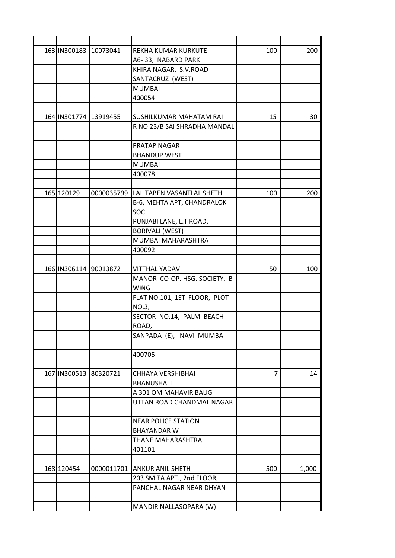| 163 IN300183 10073041 |            | REKHA KUMAR KURKUTE                   | 100            | 200   |
|-----------------------|------------|---------------------------------------|----------------|-------|
|                       |            | A6-33, NABARD PARK                    |                |       |
|                       |            | KHIRA NAGAR, S.V.ROAD                 |                |       |
|                       |            | SANTACRUZ (WEST)                      |                |       |
|                       |            | <b>MUMBAI</b>                         |                |       |
|                       |            | 400054                                |                |       |
|                       |            |                                       |                |       |
| 164 IN301774 13919455 |            | <b>SUSHILKUMAR MAHATAM RAI</b>        | 15             | 30    |
|                       |            | R NO 23/B SAI SHRADHA MANDAL          |                |       |
|                       |            | PRATAP NAGAR                          |                |       |
|                       |            | <b>BHANDUP WEST</b>                   |                |       |
|                       |            | <b>MUMBAI</b>                         |                |       |
|                       |            | 400078                                |                |       |
|                       |            |                                       |                |       |
| 165 120129            |            | 0000035799  LALITABEN VASANTLAL SHETH | 100            | 200   |
|                       |            | B-6, MEHTA APT, CHANDRALOK            |                |       |
|                       |            | <b>SOC</b>                            |                |       |
|                       |            | PUNJABI LANE, L.T ROAD,               |                |       |
|                       |            | <b>BORIVALI (WEST)</b>                |                |       |
|                       |            | MUMBAI MAHARASHTRA                    |                |       |
|                       |            | 400092                                |                |       |
|                       |            |                                       |                |       |
| 166 IN306114 90013872 |            | <b>VITTHAL YADAV</b>                  | 50             | 100   |
|                       |            | MANOR CO-OP. HSG. SOCIETY, B          |                |       |
|                       |            | <b>WING</b>                           |                |       |
|                       |            | FLAT NO.101, 1ST FLOOR, PLOT          |                |       |
|                       |            | NO.3,                                 |                |       |
|                       |            | SECTOR NO.14, PALM BEACH              |                |       |
|                       |            | ROAD,                                 |                |       |
|                       |            | SANPADA (E), NAVI MUMBAI              |                |       |
|                       |            | 400705                                |                |       |
|                       |            |                                       |                |       |
| 167 IN300513 80320721 |            | CHHAYA VERSHIBHAI                     | $\overline{7}$ | 14    |
|                       |            | <b>BHANUSHALI</b>                     |                |       |
|                       |            | A 301 OM MAHAVIR BAUG                 |                |       |
|                       |            | UTTAN ROAD CHANDMAL NAGAR             |                |       |
|                       |            | <b>NEAR POLICE STATION</b>            |                |       |
|                       |            | <b>BHAYANDAR W</b>                    |                |       |
|                       |            | THANE MAHARASHTRA                     |                |       |
|                       |            | 401101                                |                |       |
|                       |            |                                       |                |       |
| 168 120454            | 0000011701 | <b>ANKUR ANIL SHETH</b>               | 500            | 1,000 |
|                       |            | 203 SMITA APT., 2nd FLOOR,            |                |       |
|                       |            | PANCHAL NAGAR NEAR DHYAN              |                |       |
|                       |            |                                       |                |       |
|                       |            | MANDIR NALLASOPARA (W)                |                |       |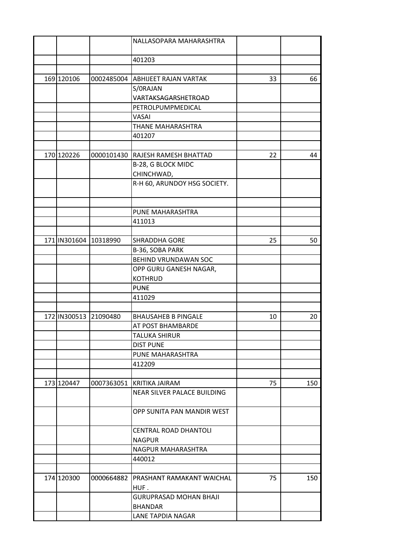|                       |                       | NALLASOPARA MAHARASHTRA          |    |     |
|-----------------------|-----------------------|----------------------------------|----|-----|
|                       |                       |                                  |    |     |
|                       |                       | 401203                           |    |     |
|                       |                       |                                  |    |     |
| 169 120106            | 0002485004            | <b>ABHIJEET RAJAN VARTAK</b>     | 33 | 66  |
|                       |                       | S/ORAJAN                         |    |     |
|                       |                       | VARTAKSAGARSHETROAD              |    |     |
|                       |                       | PETROLPUMPMEDICAL                |    |     |
|                       |                       | VASAI                            |    |     |
|                       |                       | THANE MAHARASHTRA                |    |     |
|                       |                       | 401207                           |    |     |
|                       |                       |                                  |    |     |
| 170 120226            | 0000101430            | RAJESH RAMESH BHATTAD            | 22 | 44  |
|                       |                       | B-28, G BLOCK MIDC               |    |     |
|                       |                       | CHINCHWAD,                       |    |     |
|                       |                       | R-H 60, ARUNDOY HSG SOCIETY.     |    |     |
|                       |                       |                                  |    |     |
|                       |                       |                                  |    |     |
|                       |                       | PUNE MAHARASHTRA                 |    |     |
|                       |                       | 411013                           |    |     |
|                       |                       |                                  |    |     |
| 171 IN301604 10318990 |                       | <b>SHRADDHA GORE</b>             | 25 | 50  |
|                       |                       | B-36, SOBA PARK                  |    |     |
|                       |                       | BEHIND VRUNDAWAN SOC             |    |     |
|                       |                       | OPP GURU GANESH NAGAR,           |    |     |
|                       |                       | <b>KOTHRUD</b>                   |    |     |
|                       |                       | <b>PUNE</b>                      |    |     |
|                       |                       | 411029                           |    |     |
|                       |                       |                                  |    |     |
|                       | 172 IN300513 21090480 | <b>BHAUSAHEB B PINGALE</b>       | 10 | 20  |
|                       |                       | AT POST BHAMBARDE                |    |     |
|                       |                       | TALUKA SHIRUR                    |    |     |
|                       |                       | <b>DIST PUNE</b>                 |    |     |
|                       |                       | PUNE MAHARASHTRA                 |    |     |
|                       |                       | 412209                           |    |     |
|                       |                       |                                  |    |     |
| 173 120447            | 0007363051            | KRITIKA JAIRAM                   | 75 | 150 |
|                       |                       | NEAR SILVER PALACE BUILDING      |    |     |
|                       |                       | OPP SUNITA PAN MANDIR WEST       |    |     |
|                       |                       | <b>CENTRAL ROAD DHANTOLI</b>     |    |     |
|                       |                       | <b>NAGPUR</b>                    |    |     |
|                       |                       | NAGPUR MAHARASHTRA               |    |     |
|                       |                       | 440012                           |    |     |
|                       |                       |                                  |    |     |
| 174 120300            | 0000664882            | <b>PRASHANT RAMAKANT WAICHAL</b> | 75 | 150 |
|                       |                       | HUF.                             |    |     |
|                       |                       | <b>GURUPRASAD MOHAN BHAJI</b>    |    |     |
|                       |                       | <b>BHANDAR</b>                   |    |     |
|                       |                       | LANE TAPDIA NAGAR                |    |     |
|                       |                       |                                  |    |     |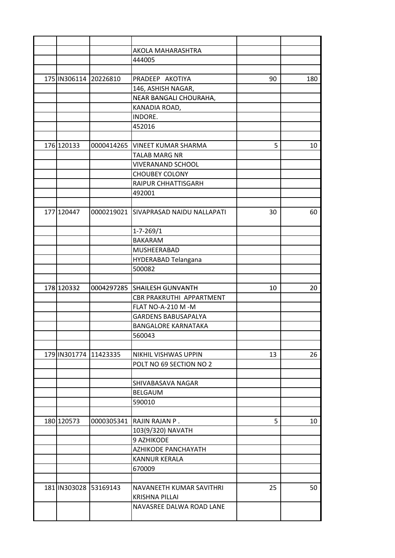|                       |            | AKOLA MAHARASHTRA                 |    |     |
|-----------------------|------------|-----------------------------------|----|-----|
|                       |            | 444005                            |    |     |
|                       |            |                                   |    |     |
| 175 IN306114 20226810 |            | PRADEEP AKOTIYA                   | 90 | 180 |
|                       |            | 146, ASHISH NAGAR,                |    |     |
|                       |            | NEAR BANGALI CHOURAHA,            |    |     |
|                       |            | KANADIA ROAD,                     |    |     |
|                       |            | INDORE.                           |    |     |
|                       |            | 452016                            |    |     |
|                       |            |                                   |    |     |
| 176 120133            | 0000414265 | <b>VINEET KUMAR SHARMA</b>        | 5  | 10  |
|                       |            | <b>TALAB MARG NR</b>              |    |     |
|                       |            | <b>VIVERANAND SCHOOL</b>          |    |     |
|                       |            | <b>CHOUBEY COLONY</b>             |    |     |
|                       |            | RAIPUR CHHATTISGARH               |    |     |
|                       |            | 492001                            |    |     |
|                       |            |                                   |    |     |
| 177 120447            | 0000219021 | <b>SIVAPRASAD NAIDU NALLAPATI</b> | 30 | 60  |
|                       |            |                                   |    |     |
|                       |            | $1 - 7 - 269/1$                   |    |     |
|                       |            | <b>BAKARAM</b>                    |    |     |
|                       |            | MUSHEERABAD                       |    |     |
|                       |            | HYDERABAD Telangana               |    |     |
|                       |            | 500082                            |    |     |
|                       |            |                                   |    |     |
| 178 120332            |            | 0004297285 SHAILESH GUNVANTH      | 10 | 20  |
|                       |            | CBR PRAKRUTHI APPARTMENT          |    |     |
|                       |            | FLAT NO-A-210 M -M                |    |     |
|                       |            | <b>GARDENS BABUSAPALYA</b>        |    |     |
|                       |            | <b>BANGALORE KARNATAKA</b>        |    |     |
|                       |            | 560043                            |    |     |
|                       |            |                                   |    |     |
| 179 IN301774 11423335 |            | NIKHIL VISHWAS UPPIN              | 13 | 26  |
|                       |            | POLT NO 69 SECTION NO 2           |    |     |
|                       |            |                                   |    |     |
|                       |            | SHIVABASAVA NAGAR                 |    |     |
|                       |            | <b>BELGAUM</b>                    |    |     |
|                       |            | 590010                            |    |     |
|                       |            |                                   |    |     |
| 180 120573            | 0000305341 | RAJIN RAJAN P.                    | 5  | 10  |
|                       |            | 103(9/320) NAVATH                 |    |     |
|                       |            | 9 AZHIKODE                        |    |     |
|                       |            | AZHIKODE PANCHAYATH               |    |     |
|                       |            | <b>KANNUR KERALA</b>              |    |     |
|                       |            | 670009                            |    |     |
|                       |            |                                   |    |     |
| 181 IN303028 53169143 |            | NAVANEETH KUMAR SAVITHRI          | 25 | 50  |
|                       |            | <b>KRISHNA PILLAI</b>             |    |     |
|                       |            | NAVASREE DALWA ROAD LANE          |    |     |
|                       |            |                                   |    |     |
|                       |            |                                   |    |     |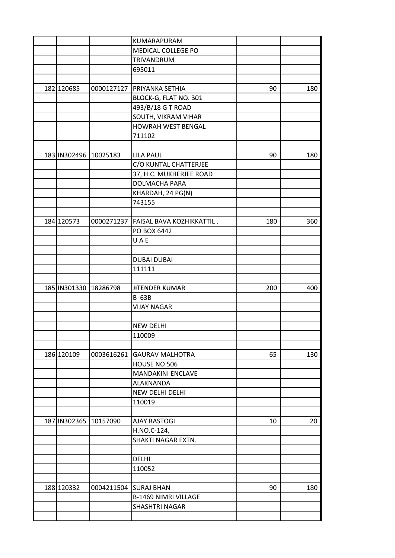|                       |                       | KUMARAPURAM                            |     |     |
|-----------------------|-----------------------|----------------------------------------|-----|-----|
|                       |                       | MEDICAL COLLEGE PO                     |     |     |
|                       |                       | TRIVANDRUM                             |     |     |
|                       |                       | 695011                                 |     |     |
|                       |                       |                                        |     |     |
| 182 120685            |                       | 0000127127   PRIYANKA SETHIA           | 90  | 180 |
|                       |                       | BLOCK-G, FLAT NO. 301                  |     |     |
|                       |                       | 493/B/18 G T ROAD                      |     |     |
|                       |                       | SOUTH, VIKRAM VIHAR                    |     |     |
|                       |                       | HOWRAH WEST BENGAL                     |     |     |
|                       |                       | 711102                                 |     |     |
|                       |                       |                                        |     |     |
| 183 IN302496 10025183 |                       | <b>LILA PAUL</b>                       | 90  | 180 |
|                       |                       | C/O KUNTAL CHATTERJEE                  |     |     |
|                       |                       | 37, H.C. MUKHERJEE ROAD                |     |     |
|                       |                       | DOLMACHA PARA                          |     |     |
|                       |                       | KHARDAH, 24 PG(N)                      |     |     |
|                       |                       | 743155                                 |     |     |
|                       |                       |                                        |     |     |
| 184 120573            |                       | 0000271237   FAISAL BAVA KOZHIKKATTIL. | 180 | 360 |
|                       |                       | PO BOX 6442                            |     |     |
|                       |                       | UAE                                    |     |     |
|                       |                       |                                        |     |     |
|                       |                       | <b>DUBAI DUBAI</b>                     |     |     |
|                       |                       | 111111                                 |     |     |
|                       |                       |                                        |     |     |
| 185 IN301330 18286798 |                       | JITENDER KUMAR                         | 200 | 400 |
|                       |                       | <b>B 63B</b>                           |     |     |
|                       |                       | <b>VIJAY NAGAR</b>                     |     |     |
|                       |                       |                                        |     |     |
|                       |                       | <b>NEW DELHI</b>                       |     |     |
|                       |                       | 110009                                 |     |     |
|                       |                       |                                        |     |     |
| 186 120109            | 0003616261            | <b>GAURAV MALHOTRA</b>                 | 65  | 130 |
|                       |                       | HOUSE NO 506                           |     |     |
|                       |                       | <b>MANDAKINI ENCLAVE</b>               |     |     |
|                       |                       | ALAKNANDA                              |     |     |
|                       |                       | NEW DELHI DELHI                        |     |     |
|                       |                       | 110019                                 |     |     |
|                       |                       |                                        |     |     |
| 187 IN 302365         | 10157090              | <b>AJAY RASTOGI</b>                    | 10  | 20  |
|                       |                       | H.NO.C-124,                            |     |     |
|                       |                       | SHAKTI NAGAR EXTN.                     |     |     |
|                       |                       |                                        |     |     |
|                       |                       | <b>DELHI</b>                           |     |     |
|                       |                       | 110052                                 |     |     |
|                       |                       |                                        |     |     |
| 188 120332            | 0004211504 SURAJ BHAN |                                        | 90  | 180 |
|                       |                       |                                        |     |     |
|                       |                       |                                        |     |     |
|                       |                       | <b>B-1469 NIMRI VILLAGE</b>            |     |     |
|                       |                       | SHASHTRI NAGAR                         |     |     |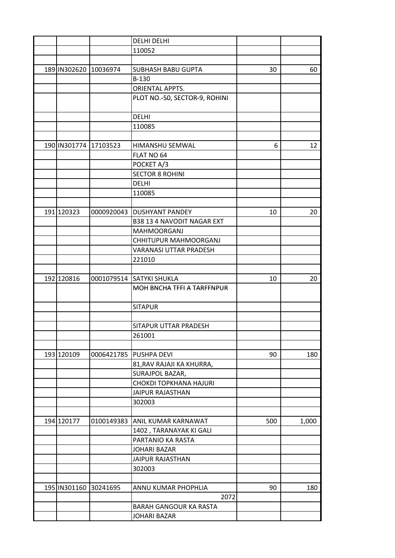|                       |                       | <b>DELHI DELHI</b>                |     |       |
|-----------------------|-----------------------|-----------------------------------|-----|-------|
|                       |                       | 110052                            |     |       |
|                       |                       |                                   |     |       |
| 189 IN302620 10036974 |                       | <b>SUBHASH BABU GUPTA</b>         | 30  | 60    |
|                       |                       | B-130                             |     |       |
|                       |                       | ORIENTAL APPTS.                   |     |       |
|                       |                       | PLOT NO.-50, SECTOR-9, ROHINI     |     |       |
|                       |                       |                                   |     |       |
|                       |                       | <b>DELHI</b>                      |     |       |
|                       |                       | 110085                            |     |       |
|                       |                       |                                   |     |       |
| 190 IN301774 17103523 |                       | HIMANSHU SEMWAL                   | 6   | 12    |
|                       |                       | FLAT NO 64                        |     |       |
|                       |                       |                                   |     |       |
|                       |                       | POCKET A/3                        |     |       |
|                       |                       | <b>SECTOR 8 ROHINI</b>            |     |       |
|                       |                       | <b>DELHI</b>                      |     |       |
|                       |                       | 110085                            |     |       |
|                       |                       |                                   |     |       |
| 191 120323            | 0000920043            | <b>IDUSHYANT PANDEY</b>           | 10  | 20    |
|                       |                       | <b>B38 13 4 NAVODIT NAGAR EXT</b> |     |       |
|                       |                       | <b>MAHMOORGANJ</b>                |     |       |
|                       |                       | CHHITUPUR MAHMOORGANJ             |     |       |
|                       |                       | <b>VARANASI UTTAR PRADESH</b>     |     |       |
|                       |                       | 221010                            |     |       |
|                       |                       |                                   |     |       |
| 192 120816            |                       | 0001079514 SATYKI SHUKLA          | 10  | 20    |
|                       |                       | MOH BNCHA TFFI A TARFFNPUR        |     |       |
|                       |                       |                                   |     |       |
|                       |                       | <b>SITAPUR</b>                    |     |       |
|                       |                       |                                   |     |       |
|                       |                       | SITAPUR UTTAR PRADESH             |     |       |
|                       |                       | 261001                            |     |       |
|                       |                       |                                   |     |       |
| 193 120109            | 0006421785            | <b>PUSHPA DEVI</b>                | 90  | 180   |
|                       |                       | 81, RAV RAJAJI KA KHURRA,         |     |       |
|                       |                       | SURAJPOL BAZAR,                   |     |       |
|                       |                       | <b>CHOKDI TOPKHANA HAJURI</b>     |     |       |
|                       |                       | <b>JAIPUR RAJASTHAN</b>           |     |       |
|                       |                       | 302003                            |     |       |
|                       |                       |                                   |     |       |
| 194 120177            | 0100149383            | ANIL KUMAR KARNAWAT               | 500 | 1,000 |
|                       |                       |                                   |     |       |
|                       |                       | 1402, TARANAYAK KI GALI           |     |       |
|                       |                       | PARTANIO KA RASTA                 |     |       |
|                       |                       | JOHARI BAZAR                      |     |       |
|                       |                       | <b>JAIPUR RAJASTHAN</b>           |     |       |
|                       |                       | 302003                            |     |       |
|                       |                       |                                   |     |       |
|                       | 195 IN301160 30241695 | ANNU KUMAR PHOPHLIA               | 90  | 180   |
|                       |                       | 2072                              |     |       |
|                       |                       | BARAH GANGOUR KA RASTA            |     |       |
|                       |                       | <b>JOHARI BAZAR</b>               |     |       |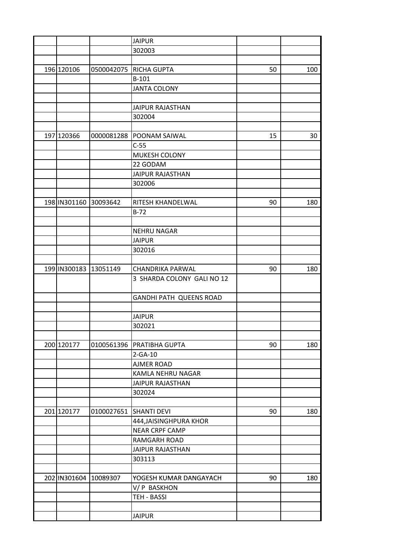|            |                       | <b>JAIPUR</b>              |    |     |
|------------|-----------------------|----------------------------|----|-----|
|            |                       | 302003                     |    |     |
|            |                       |                            |    |     |
| 196 120106 | 0500042075            | <b>RICHA GUPTA</b>         | 50 | 100 |
|            |                       | $B-101$                    |    |     |
|            |                       | <b>JANTA COLONY</b>        |    |     |
|            |                       |                            |    |     |
|            |                       | <b>JAIPUR RAJASTHAN</b>    |    |     |
|            |                       | 302004                     |    |     |
|            |                       |                            |    |     |
| 197 120366 | 0000081288            | <b>POONAM SAIWAL</b>       | 15 | 30  |
|            |                       | $C-55$                     |    |     |
|            |                       | MUKESH COLONY              |    |     |
|            |                       | 22 GODAM                   |    |     |
|            |                       | <b>JAIPUR RAJASTHAN</b>    |    |     |
|            |                       | 302006                     |    |     |
|            |                       |                            |    |     |
|            | 198 IN301160 30093642 | RITESH KHANDELWAL          | 90 | 180 |
|            |                       | $B-72$                     |    |     |
|            |                       |                            |    |     |
|            |                       | <b>NEHRU NAGAR</b>         |    |     |
|            |                       | <b>JAIPUR</b>              |    |     |
|            |                       | 302016                     |    |     |
|            |                       |                            |    |     |
|            | 199 IN300183 13051149 | <b>CHANDRIKA PARWAL</b>    | 90 | 180 |
|            |                       | 3 SHARDA COLONY GALI NO 12 |    |     |
|            |                       |                            |    |     |
|            |                       | GANDHI PATH QUEENS ROAD    |    |     |
|            |                       |                            |    |     |
|            |                       | <b>JAIPUR</b>              |    |     |
|            |                       | 302021                     |    |     |
|            |                       |                            |    |     |
| 200 120177 | 0100561396            | PRATIBHA GUPTA             | 90 | 180 |
|            |                       | $2-GA-10$                  |    |     |
|            |                       | <b>AJMER ROAD</b>          |    |     |
|            |                       | KAMLA NEHRU NAGAR          |    |     |
|            |                       | <b>JAIPUR RAJASTHAN</b>    |    |     |
|            |                       | 302024                     |    |     |
|            |                       |                            |    |     |
| 201 120177 | 0100027651            | <b>SHANTI DEVI</b>         | 90 | 180 |
|            |                       | 444, JAISINGHPURA KHOR     |    |     |
|            |                       | <b>NEAR CRPF CAMP</b>      |    |     |
|            |                       | <b>RAMGARH ROAD</b>        |    |     |
|            |                       | <b>JAIPUR RAJASTHAN</b>    |    |     |
|            |                       | 303113                     |    |     |
|            |                       |                            |    |     |
|            | 202 IN301604 10089307 | YOGESH KUMAR DANGAYACH     | 90 | 180 |
|            |                       | V/P BASKHON                |    |     |
|            |                       | TEH - BASSI                |    |     |
|            |                       |                            |    |     |
|            |                       | <b>JAIPUR</b>              |    |     |
|            |                       |                            |    |     |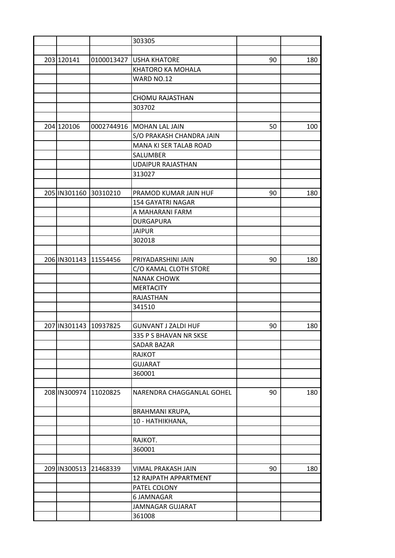|                         |                       | 303305                       |    |     |
|-------------------------|-----------------------|------------------------------|----|-----|
|                         |                       |                              |    |     |
| 203 120141              | 0100013427            | <b>USHA KHATORE</b>          | 90 | 180 |
|                         |                       | KHATORO KA MOHALA            |    |     |
|                         |                       | WARD NO.12                   |    |     |
|                         |                       |                              |    |     |
|                         |                       | <b>CHOMU RAJASTHAN</b>       |    |     |
|                         |                       | 303702                       |    |     |
|                         |                       |                              |    |     |
| 204 120106              | 0002744916            | MOHAN LAL JAIN               | 50 | 100 |
|                         |                       | S/O PRAKASH CHANDRA JAIN     |    |     |
|                         |                       | MANA KI SER TALAB ROAD       |    |     |
|                         |                       | SALUMBER                     |    |     |
|                         |                       | <b>UDAIPUR RAJASTHAN</b>     |    |     |
|                         |                       | 313027                       |    |     |
|                         |                       |                              |    |     |
| 205 IN301160 30310210   |                       | PRAMOD KUMAR JAIN HUF        | 90 | 180 |
|                         |                       | <b>154 GAYATRI NAGAR</b>     |    |     |
|                         |                       |                              |    |     |
|                         |                       | A MAHARANI FARM              |    |     |
|                         |                       | <b>DURGAPURA</b>             |    |     |
|                         |                       | <b>JAIPUR</b>                |    |     |
|                         |                       | 302018                       |    |     |
|                         |                       |                              |    |     |
| 206 IN301143 11554456   |                       | PRIYADARSHINI JAIN           | 90 | 180 |
|                         |                       | C/O KAMAL CLOTH STORE        |    |     |
|                         |                       | <b>NANAK CHOWK</b>           |    |     |
|                         |                       | <b>MERTACITY</b>             |    |     |
|                         |                       | <b>RAJASTHAN</b>             |    |     |
|                         |                       | 341510                       |    |     |
|                         |                       |                              |    |     |
| 207 IN301143   10937825 |                       | <b>GUNVANT J ZALDI HUF</b>   | 90 | 180 |
|                         |                       | 335 P S BHAVAN NR SKSE       |    |     |
|                         |                       | SADAR BAZAR                  |    |     |
|                         |                       | RAJKOT                       |    |     |
|                         |                       | <b>GUJARAT</b>               |    |     |
|                         |                       | 360001                       |    |     |
|                         |                       |                              |    |     |
|                         | 208 IN300974 11020825 | NARENDRA CHAGGANLAL GOHEL    | 90 | 180 |
|                         |                       | <b>BRAHMANI KRUPA,</b>       |    |     |
|                         |                       | 10 - HATHIKHANA,             |    |     |
|                         |                       |                              |    |     |
|                         |                       | RAJKOT.                      |    |     |
|                         |                       | 360001                       |    |     |
|                         |                       |                              |    |     |
| 209 IN300513            | 21468339              | VIMAL PRAKASH JAIN           | 90 | 180 |
|                         |                       | <b>12 RAJPATH APPARTMENT</b> |    |     |
|                         |                       | PATEL COLONY                 |    |     |
|                         |                       | 6 JAMNAGAR                   |    |     |
|                         |                       | JAMNAGAR GUJARAT             |    |     |
|                         |                       |                              |    |     |
|                         |                       | 361008                       |    |     |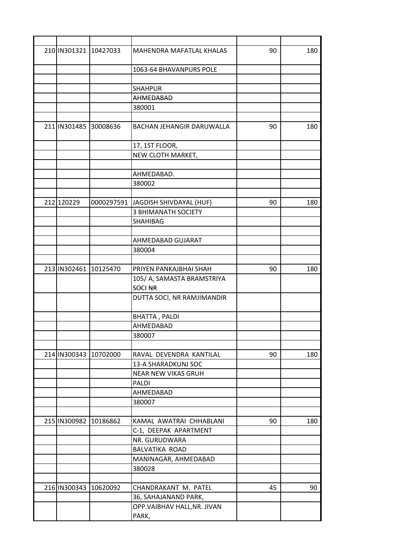|            | 210 IN301321 10427033 | MAHENDRA MAFATLAL KHALAS         | 90 | 180 |
|------------|-----------------------|----------------------------------|----|-----|
|            |                       | 1063-64 BHAVANPURS POLE          |    |     |
|            |                       | <b>SHAHPUR</b>                   |    |     |
|            |                       | AHMEDABAD                        |    |     |
|            |                       | 380001                           |    |     |
|            |                       |                                  |    |     |
|            | 211 IN301485 30008636 | <b>BACHAN JEHANGIR DARUWALLA</b> | 90 | 180 |
|            |                       | 17, 1ST FLOOR,                   |    |     |
|            |                       | NEW CLOTH MARKET,                |    |     |
|            |                       |                                  |    |     |
|            |                       | AHMEDABAD.                       |    |     |
|            |                       | 380002                           |    |     |
|            |                       |                                  |    |     |
| 212 120229 | 0000297591            | JAGDISH SHIVDAYAL (HUF)          | 90 | 180 |
|            |                       | <b>3 BHIMANATH SOCIETY</b>       |    |     |
|            |                       | SHAHIBAG                         |    |     |
|            |                       |                                  |    |     |
|            |                       | AHMEDABAD GUJARAT                |    |     |
|            |                       | 380004                           |    |     |
|            |                       |                                  |    |     |
|            | 213 IN302461 10125470 | PRIYEN PANKAJBHAI SHAH           | 90 | 180 |
|            |                       | 105/ A, SAMASTA BRAMSTRIYA       |    |     |
|            |                       | <b>SOCI NR</b>                   |    |     |
|            |                       | DUTTA SOCI, NR RAMJIMANDIR       |    |     |
|            |                       | <b>BHATTA, PALDI</b>             |    |     |
|            |                       | AHMEDABAD                        |    |     |
|            |                       | 380007                           |    |     |
|            |                       |                                  |    |     |
|            | 214 IN300343 10702000 | RAVAL DEVENDRA KANTILAL          | 90 | 180 |
|            |                       | 13-A SHARADKUNJ SOC              |    |     |
|            |                       | NEAR NEW VIKAS GRUH              |    |     |
|            |                       | PALDI                            |    |     |
|            |                       | AHMEDABAD                        |    |     |
|            |                       | 380007                           |    |     |
|            |                       |                                  |    |     |
|            | 215 IN300982 10186862 | KAMAL AWATRAI CHHABLANI          | 90 | 180 |
|            |                       | C-1, DEEPAK APARTMENT            |    |     |
|            |                       | NR. GURUDWARA                    |    |     |
|            |                       | BALVATIKA ROAD                   |    |     |
|            |                       | MANINAGAR, AHMEDABAD             |    |     |
|            |                       | 380028                           |    |     |
|            |                       |                                  |    |     |
|            | 216 IN300343 10620092 | CHANDRAKANT M. PATEL             | 45 | 90  |
|            |                       | 36, SAHAJANAND PARK,             |    |     |
|            |                       | OPP.VAIBHAV HALL, NR. JIVAN      |    |     |
|            |                       | PARK,                            |    |     |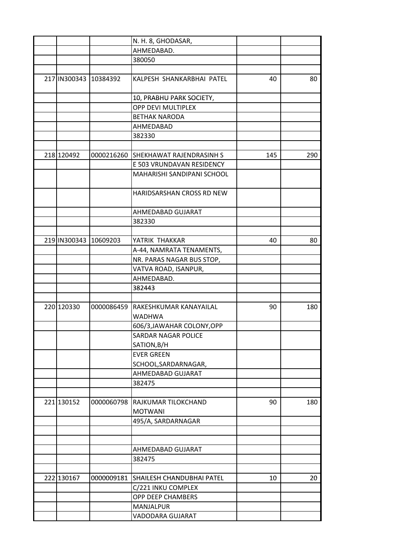|            |                       | N. H. 8, GHODASAR,                      |     |     |
|------------|-----------------------|-----------------------------------------|-----|-----|
|            |                       | AHMEDABAD.                              |     |     |
|            |                       | 380050                                  |     |     |
|            |                       |                                         |     |     |
|            | 217 IN300343 10384392 | KALPESH SHANKARBHAI PATEL               | 40  | 80  |
|            |                       | 10, PRABHU PARK SOCIETY,                |     |     |
|            |                       | OPP DEVI MULTIPLEX                      |     |     |
|            |                       | <b>BETHAK NARODA</b>                    |     |     |
|            |                       | AHMEDABAD                               |     |     |
|            |                       | 382330                                  |     |     |
|            |                       |                                         |     |     |
| 218 120492 | 0000216260            | <b>SHEKHAWAT RAJENDRASINH S</b>         | 145 | 290 |
|            |                       | E 503 VRUNDAVAN RESIDENCY               |     |     |
|            |                       | MAHARISHI SANDIPANI SCHOOL              |     |     |
|            |                       | HARIDSARSHAN CROSS RD NEW               |     |     |
|            |                       | AHMEDABAD GUJARAT                       |     |     |
|            |                       | 382330                                  |     |     |
|            |                       |                                         |     |     |
|            | 219 IN300343 10609203 | YATRIK THAKKAR                          |     |     |
|            |                       |                                         | 40  | 80  |
|            |                       | A-44, NAMRATA TENAMENTS,                |     |     |
|            |                       | NR. PARAS NAGAR BUS STOP,               |     |     |
|            |                       | VATVA ROAD, ISANPUR,                    |     |     |
|            |                       | AHMEDABAD.                              |     |     |
|            |                       | 382443                                  |     |     |
| 220 120330 |                       |                                         |     |     |
|            | 0000086459            | RAKESHKUMAR KANAYAILAL<br><b>WADHWA</b> | 90  | 180 |
|            |                       |                                         |     |     |
|            |                       | 606/3, JAWAHAR COLONY, OPP              |     |     |
|            |                       | SARDAR NAGAR POLICE                     |     |     |
|            |                       | SATION, B/H                             |     |     |
|            |                       | <b>EVER GREEN</b>                       |     |     |
|            |                       | SCHOOL, SARDARNAGAR,                    |     |     |
|            |                       | AHMEDABAD GUJARAT                       |     |     |
|            |                       | 382475                                  |     |     |
|            |                       |                                         |     |     |
| 221 130152 | 0000060798            | RAJKUMAR TILOKCHAND                     | 90  | 180 |
|            |                       | <b>MOTWANI</b>                          |     |     |
|            |                       | 495/A, SARDARNAGAR                      |     |     |
|            |                       |                                         |     |     |
|            |                       |                                         |     |     |
|            |                       | AHMEDABAD GUJARAT                       |     |     |
|            |                       | 382475                                  |     |     |
|            |                       |                                         |     |     |
| 222 130167 | 0000009181            | SHAILESH CHANDUBHAI PATEL               | 10  | 20  |
|            |                       | C/221 INKU COMPLEX                      |     |     |
|            |                       | OPP DEEP CHAMBERS                       |     |     |
|            |                       | MANJALPUR                               |     |     |
|            |                       | VADODARA GUJARAT                        |     |     |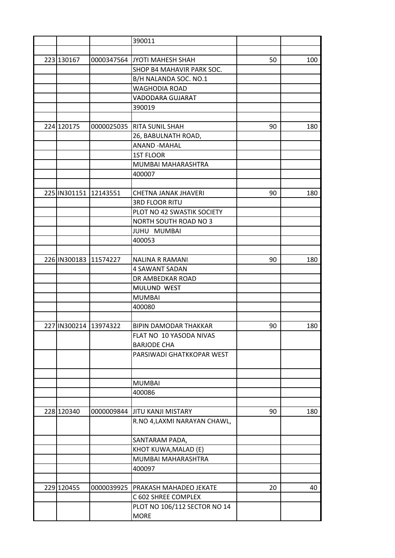|                       |                       | 390011                       |    |     |
|-----------------------|-----------------------|------------------------------|----|-----|
|                       |                       |                              |    |     |
| 223 130167            |                       | 0000347564 JYOTI MAHESH SHAH | 50 | 100 |
|                       |                       | SHOP B4 MAHAVIR PARK SOC.    |    |     |
|                       |                       | B/H NALANDA SOC. NO.1        |    |     |
|                       |                       | WAGHODIA ROAD                |    |     |
|                       |                       | VADODARA GUJARAT             |    |     |
|                       |                       | 390019                       |    |     |
|                       |                       |                              |    |     |
| 224 120175            | 0000025035            | <b>RITA SUNIL SHAH</b>       | 90 | 180 |
|                       |                       | 26, BABULNATH ROAD,          |    |     |
|                       |                       | <b>ANAND -MAHAL</b>          |    |     |
|                       |                       | <b>1ST FLOOR</b>             |    |     |
|                       |                       | MUMBAI MAHARASHTRA           |    |     |
|                       |                       |                              |    |     |
|                       |                       | 400007                       |    |     |
|                       |                       |                              |    |     |
| 225 IN301151 12143551 |                       | CHETNA JANAK JHAVERI         | 90 | 180 |
|                       |                       | <b>3RD FLOOR RITU</b>        |    |     |
|                       |                       | PLOT NO 42 SWASTIK SOCIETY   |    |     |
|                       |                       | NORTH SOUTH ROAD NO 3        |    |     |
|                       |                       | JUHU MUMBAI                  |    |     |
|                       |                       | 400053                       |    |     |
|                       |                       |                              |    |     |
|                       | 226 IN300183 11574227 | <b>NALINA R RAMANI</b>       | 90 | 180 |
|                       |                       | 4 SAWANT SADAN               |    |     |
|                       |                       | DR AMBEDKAR ROAD             |    |     |
|                       |                       | MULUND WEST                  |    |     |
|                       |                       | <b>MUMBAI</b>                |    |     |
|                       |                       | 400080                       |    |     |
|                       |                       |                              |    |     |
| 227 IN300214 13974322 |                       | <b>BIPIN DAMODAR THAKKAR</b> | 90 | 180 |
|                       |                       | FLAT NO 10 YASODA NIVAS      |    |     |
|                       |                       | <b>BARJODE CHA</b>           |    |     |
|                       |                       | PARSIWADI GHATKKOPAR WEST    |    |     |
|                       |                       |                              |    |     |
|                       |                       |                              |    |     |
|                       |                       | <b>MUMBAI</b>                |    |     |
|                       |                       | 400086                       |    |     |
|                       |                       |                              |    |     |
| 228 120340            | 0000009844            | <b>JITU KANJI MISTARY</b>    | 90 | 180 |
|                       |                       | R.NO 4, LAXMI NARAYAN CHAWL, |    |     |
|                       |                       | SANTARAM PADA,               |    |     |
|                       |                       | KHOT KUWA, MALAD (E)         |    |     |
|                       |                       | MUMBAI MAHARASHTRA           |    |     |
|                       |                       | 400097                       |    |     |
|                       |                       |                              |    |     |
| 229 120455            | 0000039925            | PRAKASH MAHADEO JEKATE       | 20 | 40  |
|                       |                       | C 602 SHREE COMPLEX          |    |     |
|                       |                       | PLOT NO 106/112 SECTOR NO 14 |    |     |
|                       |                       | <b>MORE</b>                  |    |     |
|                       |                       |                              |    |     |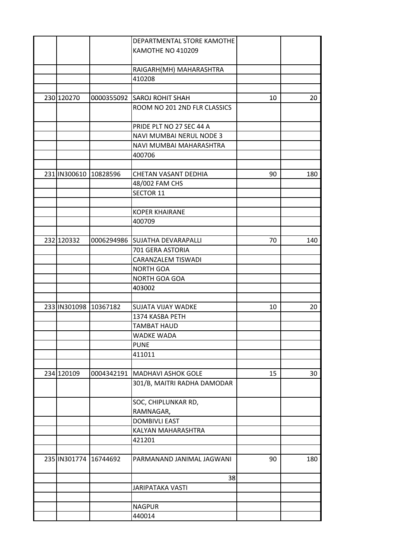|                       |                       | <b>DEPARTMENTAL STORE KAMOTHE</b> |    |     |
|-----------------------|-----------------------|-----------------------------------|----|-----|
|                       |                       | KAMOTHE NO 410209                 |    |     |
|                       |                       |                                   |    |     |
|                       |                       | RAIGARH(MH) MAHARASHTRA           |    |     |
|                       |                       | 410208                            |    |     |
|                       |                       |                                   |    |     |
| 230 120270            |                       | 0000355092 SAROJ ROHIT SHAH       | 10 | 20  |
|                       |                       | ROOM NO 201 2ND FLR CLASSICS      |    |     |
|                       |                       |                                   |    |     |
|                       |                       | PRIDE PLT NO 27 SEC 44 A          |    |     |
|                       |                       | NAVI MUMBAI NERUL NODE 3          |    |     |
|                       |                       | NAVI MUMBAI MAHARASHTRA           |    |     |
|                       |                       | 400706                            |    |     |
|                       |                       |                                   |    |     |
| 231 IN300610 10828596 |                       | CHETAN VASANT DEDHIA              | 90 | 180 |
|                       |                       | 48/002 FAM CHS                    |    |     |
|                       |                       | SECTOR 11                         |    |     |
|                       |                       |                                   |    |     |
|                       |                       | <b>KOPER KHAIRANE</b>             |    |     |
|                       |                       |                                   |    |     |
|                       |                       | 400709                            |    |     |
|                       |                       |                                   |    |     |
| 232 120332            |                       | 0006294986 SUJATHA DEVARAPALLI    | 70 | 140 |
|                       |                       | 701 GERA ASTORIA                  |    |     |
|                       |                       | CARANZALEM TISWADI                |    |     |
|                       |                       | <b>NORTH GOA</b>                  |    |     |
|                       |                       | NORTH GOA GOA                     |    |     |
|                       |                       | 403002                            |    |     |
|                       |                       |                                   |    |     |
| 233 IN301098 10367182 |                       | SUJATA VIJAY WADKE                | 10 | 20  |
|                       |                       | 1374 KASBA PETH                   |    |     |
|                       |                       | <b>TAMBAT HAUD</b>                |    |     |
|                       |                       | WADKE WADA                        |    |     |
|                       |                       | <b>PUNE</b>                       |    |     |
|                       |                       | 411011                            |    |     |
|                       |                       |                                   |    |     |
| 234 120109            | 0004342191            | <b>MADHAVI ASHOK GOLE</b>         | 15 | 30  |
|                       |                       | 301/B, MAITRI RADHA DAMODAR       |    |     |
|                       |                       | SOC, CHIPLUNKAR RD,               |    |     |
|                       |                       | RAMNAGAR,                         |    |     |
|                       |                       | <b>DOMBIVLI EAST</b>              |    |     |
|                       |                       | KALYAN MAHARASHTRA                |    |     |
|                       |                       |                                   |    |     |
|                       |                       | 421201                            |    |     |
|                       |                       |                                   |    |     |
|                       | 235 IN301774 16744692 | PARMANAND JANIMAL JAGWANI         | 90 | 180 |
|                       |                       | 38                                |    |     |
|                       |                       | JARIPATAKA VASTI                  |    |     |
|                       |                       |                                   |    |     |
|                       |                       | <b>NAGPUR</b>                     |    |     |
|                       |                       | 440014                            |    |     |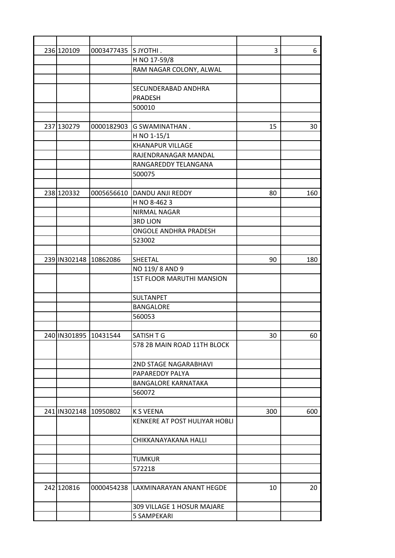| 236 120109            | 0003477435 SJYOTHI.    |                                  | 3   | 6   |
|-----------------------|------------------------|----------------------------------|-----|-----|
|                       |                        | H NO 17-59/8                     |     |     |
|                       |                        | RAM NAGAR COLONY, ALWAL          |     |     |
|                       |                        |                                  |     |     |
|                       |                        | SECUNDERABAD ANDHRA              |     |     |
|                       |                        | <b>PRADESH</b>                   |     |     |
|                       |                        | 500010                           |     |     |
|                       |                        |                                  |     |     |
| 237 130279            | 0000182903             | <b>G SWAMINATHAN.</b>            | 15  | 30  |
|                       |                        | H NO 1-15/1                      |     |     |
|                       |                        | <b>KHANAPUR VILLAGE</b>          |     |     |
|                       |                        | RAJENDRANAGAR MANDAL             |     |     |
|                       |                        | RANGAREDDY TELANGANA             |     |     |
|                       |                        | 500075                           |     |     |
|                       |                        |                                  |     |     |
| 238 120332            |                        | 0005656610 DANDU ANJI REDDY      | 80  | 160 |
|                       |                        |                                  |     |     |
|                       |                        | H NO 8-4623                      |     |     |
|                       |                        | <b>NIRMAL NAGAR</b>              |     |     |
|                       |                        | <b>3RD LION</b>                  |     |     |
|                       |                        | ONGOLE ANDHRA PRADESH            |     |     |
|                       |                        | 523002                           |     |     |
|                       |                        |                                  |     |     |
| 239 IN302148 10862086 |                        | SHEETAL                          | 90  | 180 |
|                       |                        | NO 119/8 AND 9                   |     |     |
|                       |                        | <b>1ST FLOOR MARUTHI MANSION</b> |     |     |
|                       |                        | SULTANPET                        |     |     |
|                       |                        | <b>BANGALORE</b>                 |     |     |
|                       |                        | 560053                           |     |     |
|                       |                        |                                  |     |     |
|                       | 240IIN301895 I10431544 | SATISH T G                       | 30  | 60  |
|                       |                        | 578 2B MAIN ROAD 11TH BLOCK      |     |     |
|                       |                        |                                  |     |     |
|                       |                        | 2ND STAGE NAGARABHAVI            |     |     |
|                       |                        | PAPAREDDY PALYA                  |     |     |
|                       |                        | <b>BANGALORE KARNATAKA</b>       |     |     |
|                       |                        |                                  |     |     |
|                       |                        | 560072                           |     |     |
|                       |                        | <b>K S VEENA</b>                 |     |     |
| 241 IN302148 10950802 |                        |                                  | 300 | 600 |
|                       |                        | KENKERE AT POST HULIYAR HOBLI    |     |     |
|                       |                        | CHIKKANAYAKANA HALLI             |     |     |
|                       |                        |                                  |     |     |
|                       |                        | <b>TUMKUR</b>                    |     |     |
|                       |                        | 572218                           |     |     |
|                       |                        |                                  |     |     |
| 242 120816            | 0000454238             | LAXMINARAYAN ANANT HEGDE         | 10  | 20  |
|                       |                        | 309 VILLAGE 1 HOSUR MAJARE       |     |     |
|                       |                        |                                  |     |     |
|                       |                        | 5 SAMPEKARI                      |     |     |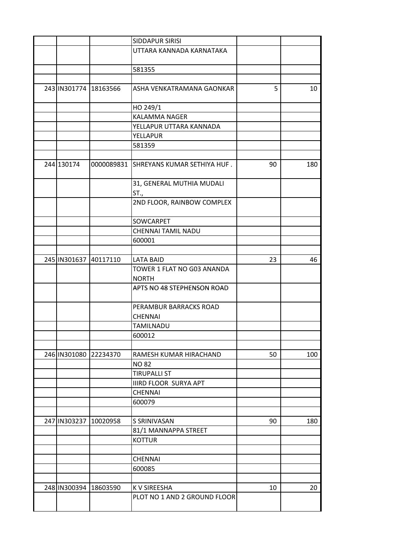|  |                       |                       | SIDDAPUR SIRISI                   |    |     |
|--|-----------------------|-----------------------|-----------------------------------|----|-----|
|  |                       |                       | UTTARA KANNADA KARNATAKA          |    |     |
|  |                       |                       |                                   |    |     |
|  |                       |                       | 581355                            |    |     |
|  |                       |                       |                                   |    |     |
|  |                       | 243 IN301774 18163566 | ASHA VENKATRAMANA GAONKAR         | 5  | 10  |
|  |                       |                       | HO 249/1                          |    |     |
|  |                       |                       | KALAMMA NAGER                     |    |     |
|  |                       |                       | YELLAPUR UTTARA KANNADA           |    |     |
|  |                       |                       | YELLAPUR                          |    |     |
|  |                       |                       | 581359                            |    |     |
|  |                       |                       |                                   |    |     |
|  | 244 130174            | 0000089831            | ISHREYANS KUMAR SETHIYA HUF.      | 90 | 180 |
|  |                       |                       | 31, GENERAL MUTHIA MUDALI<br>ST., |    |     |
|  |                       |                       | 2ND FLOOR, RAINBOW COMPLEX        |    |     |
|  |                       |                       | SOWCARPET                         |    |     |
|  |                       |                       | CHENNAI TAMIL NADU                |    |     |
|  |                       |                       | 600001                            |    |     |
|  |                       |                       |                                   |    |     |
|  |                       | 245 IN301637 40117110 | <b>LATA BAID</b>                  | 23 | 46  |
|  |                       |                       | TOWER 1 FLAT NO G03 ANANDA        |    |     |
|  |                       |                       | <b>NORTH</b>                      |    |     |
|  |                       |                       | APTS NO 48 STEPHENSON ROAD        |    |     |
|  |                       |                       |                                   |    |     |
|  |                       |                       | PERAMBUR BARRACKS ROAD            |    |     |
|  |                       |                       | <b>CHENNAI</b>                    |    |     |
|  |                       |                       | TAMILNADU                         |    |     |
|  |                       |                       | 600012                            |    |     |
|  |                       |                       |                                   |    |     |
|  | 246 IN301080 22234370 |                       | RAMESH KUMAR HIRACHAND            | 50 | 100 |
|  |                       |                       | <b>NO 82</b>                      |    |     |
|  |                       |                       | <b>TIRUPALLI ST</b>               |    |     |
|  |                       |                       | <b>IIIRD FLOOR SURYA APT</b>      |    |     |
|  |                       |                       | <b>CHENNAI</b>                    |    |     |
|  |                       |                       | 600079                            |    |     |
|  | 247 IN303237          | 10020958              | S SRINIVASAN                      | 90 | 180 |
|  |                       |                       | 81/1 MANNAPPA STREET              |    |     |
|  |                       |                       | <b>KOTTUR</b>                     |    |     |
|  |                       |                       |                                   |    |     |
|  |                       |                       | <b>CHENNAI</b>                    |    |     |
|  |                       |                       | 600085                            |    |     |
|  |                       |                       |                                   |    |     |
|  |                       | 248 IN300394 18603590 | K V SIREESHA                      | 10 | 20  |
|  |                       |                       | PLOT NO 1 AND 2 GROUND FLOOR      |    |     |
|  |                       |                       |                                   |    |     |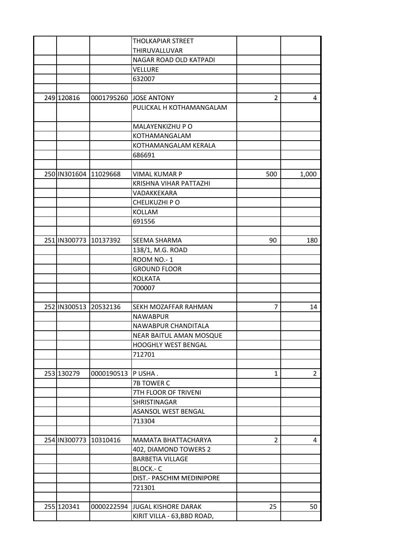|  |            |                       | <b>THOLKAPIAR STREET</b>        |                |                |
|--|------------|-----------------------|---------------------------------|----------------|----------------|
|  |            |                       | THIRUVALLUVAR                   |                |                |
|  |            |                       | NAGAR ROAD OLD KATPADI          |                |                |
|  |            |                       | <b>VELLURE</b>                  |                |                |
|  |            |                       | 632007                          |                |                |
|  |            |                       |                                 |                |                |
|  | 249 120816 |                       | 0001795260 JOSE ANTONY          | 2              | 4              |
|  |            |                       | PULICKAL H KOTHAMANGALAM        |                |                |
|  |            |                       |                                 |                |                |
|  |            |                       | MALAYENKIZHU P O                |                |                |
|  |            |                       | KOTHAMANGALAM                   |                |                |
|  |            |                       | KOTHAMANGALAM KERALA            |                |                |
|  |            |                       | 686691                          |                |                |
|  |            |                       |                                 |                |                |
|  |            | 250 IN301604 11029668 | <b>VIMAL KUMAR P</b>            | 500            | 1,000          |
|  |            |                       | KRISHNA VIHAR PATTAZHI          |                |                |
|  |            |                       | VADAKKEKARA                     |                |                |
|  |            |                       | CHELIKUZHI PO                   |                |                |
|  |            |                       | <b>KOLLAM</b>                   |                |                |
|  |            |                       | 691556                          |                |                |
|  |            |                       |                                 |                |                |
|  |            | 251 IN300773 10137392 | SEEMA SHARMA                    | 90             | 180            |
|  |            |                       | 138/1, M.G. ROAD                |                |                |
|  |            |                       | <b>ROOM NO.-1</b>               |                |                |
|  |            |                       | <b>GROUND FLOOR</b>             |                |                |
|  |            |                       | <b>KOLKATA</b>                  |                |                |
|  |            |                       | 700007                          |                |                |
|  |            |                       |                                 |                |                |
|  |            | 252 IN300513 20532136 | SEKH MOZAFFAR RAHMAN            | 7              | 14             |
|  |            |                       | <b>NAWABPUR</b>                 |                |                |
|  |            |                       | NAWABPUR CHANDITALA             |                |                |
|  |            |                       | NEAR BAITUL AMAN MOSQUE         |                |                |
|  |            |                       | <b>HOOGHLY WEST BENGAL</b>      |                |                |
|  |            |                       | 712701                          |                |                |
|  |            |                       |                                 |                |                |
|  | 253 130279 | 0000190513            | P USHA.                         | 1              | $\overline{2}$ |
|  |            |                       | 7B TOWER C                      |                |                |
|  |            |                       | 7TH FLOOR OF TRIVENI            |                |                |
|  |            |                       | SHRISTINAGAR                    |                |                |
|  |            |                       | ASANSOL WEST BENGAL             |                |                |
|  |            |                       | 713304                          |                |                |
|  |            |                       |                                 |                |                |
|  |            | 254 IN300773 10310416 | MAMATA BHATTACHARYA             | $\overline{2}$ | 4              |
|  |            |                       | 402, DIAMOND TOWERS 2           |                |                |
|  |            |                       | <b>BARBETIA VILLAGE</b>         |                |                |
|  |            |                       | <b>BLOCK .- C</b>               |                |                |
|  |            |                       | DIST.- PASCHIM MEDINIPORE       |                |                |
|  |            |                       | 721301                          |                |                |
|  |            |                       |                                 |                |                |
|  | 255 120341 |                       | 0000222594 JJUGAL KISHORE DARAK | 25             | 50             |
|  |            |                       | KIRIT VILLA - 63, BBD ROAD,     |                |                |
|  |            |                       |                                 |                |                |